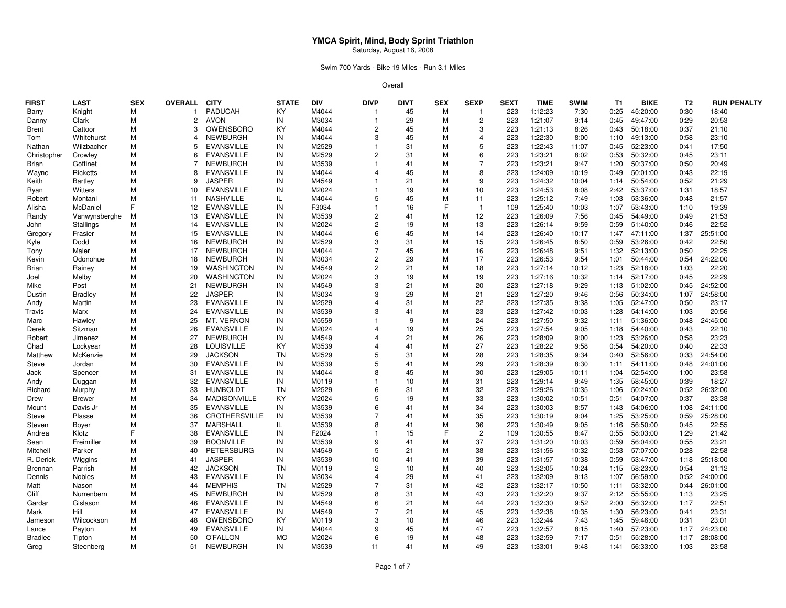Swim 700 Yards - Bike 19 Miles - Run 3.1 Miles

| FIRST          | <b>LAST</b>      | <b>SEX</b> | <b>OVERALL</b> | <b>CITY</b>         | <b>STATE</b> | <b>DIV</b> | <b>DIVP</b>    | <b>DIVT</b> | <b>SEX</b> | <b>SEXP</b>    | <b>SEXT</b> | <b>TIME</b> | <b>SWIM</b> | T <sub>1</sub> | <b>BIKE</b> | T <sub>2</sub> | <b>RUN PENALTY</b> |
|----------------|------------------|------------|----------------|---------------------|--------------|------------|----------------|-------------|------------|----------------|-------------|-------------|-------------|----------------|-------------|----------------|--------------------|
| Barry          | Knight           | М          | $\mathbf{1}$   | PADUCAH             | KY           | M4044      | -1             | 45          | M          | -1             | 223         | 1:12:23     | 7:30        | 0:25           | 45:20:00    | 0:30           | 18:40              |
| Danny          | Clark            | M          | 2              | <b>AVON</b>         | IN           | M3034      | $\mathbf{1}$   | 29          | M          | $\overline{c}$ | 223         | 1:21:07     | 9:14        | 0:45           | 49:47:00    | 0:29           | 20:53              |
| <b>Brent</b>   | Cattoor          | M          | 3              | OWENSBORO           | KY           | M4044      | $\overline{c}$ | 45          | M          | 3              | 223         | 1:21:13     | 8:26        | 0:43           | 50:18:00    | 0:37           | 21:10              |
| Tom            | Whitehurst       | M          | $\overline{4}$ | <b>NEWBURGH</b>     | IN           | M4044      | 3              | 45          | M          | $\overline{4}$ | 223         | 1:22:30     | 8:00        | 1:10           | 49:13:00    | 0:58           | 23:10              |
| Nathan         | Wilzbacher       | M          | 5              | <b>EVANSVILLE</b>   | IN           | M2529      |                | 31          | М          | 5              | 223         | 1:22:43     | 11:07       | 0:45           | 52:23:00    | 0:41           | 17:50              |
| Christopher    | Crowley          | M          | 6              | <b>EVANSVILLE</b>   | IN           | M2529      | $\overline{2}$ | 31          | М          | 6              | 223         | 1:23:21     | 8:02        | 0:53           | 50:32:00    | 0:45           | 23:11              |
| Brian          | Goffinet         | M          | 7              | <b>NEWBURGH</b>     | IN           | M3539      |                | 41          | M          | $\overline{7}$ | 223         | 1:23:21     | 9:47        | 1:20           | 50:37:00    | 0:50           | 20:49              |
| Wayne          | Ricketts         | M          | 8              | <b>EVANSVILLE</b>   | IN           | M4044      | $\overline{4}$ | 45          | M          | 8              | 223         | 1:24:09     | 10:19       | 0:49           | 50:01:00    | 0:43           | 22:19              |
| Keith          | Bartley          | M          | 9              | <b>JASPER</b>       | IN           | M4549      |                | 21          | М          | 9              | 223         | 1:24:32     | 10:04       | 1:14           | 50:54:00    | 0:52           | 21:29              |
| Ryan           | Witters          | M          | 10             | <b>EVANSVILLE</b>   | IN           | M2024      |                | 19          | M          | 10             | 223         | 1:24:53     | 8:08        | 2:42           | 53:37:00    | 1:31           | 18:57              |
| Robert         | Montani          | M          | 11             | <b>NASHVILLE</b>    | IL.          | M4044      | 5              | 45          | M          | 11             | 223         | 1:25:12     | 7:49        | 1:03           | 53:36:00    | 0:48           | 21:57              |
| Alisha         | McDaniel         |            | 12             | <b>EVANSVILLE</b>   | IN           | F3034      | -1             | 16          | E          | -1             | 109         | 1:25:40     | 10:03       | 1:07           | 53:43:00    | 1:10           | 19:39              |
| Randy          | Vanwynsberghe    | м          | 13             | <b>EVANSVILLE</b>   | IN           | M3539      | $\overline{c}$ | 41          | M          | 12             | 223         | 1:26:09     | 7:56        | 0:45           | 54:49:00    | 0:49           | 21:53              |
| John           | <b>Stallings</b> | М          | 14             | <b>EVANSVILLE</b>   | IN           | M2024      | $\overline{2}$ | 19          | M          | 13             | 223         | 1:26:14     | 9:59        | 0:59           | 51:40:00    | 0:46           | 22:52              |
| Gregory        | Frasier          | M          | 15             | <b>EVANSVILLE</b>   | IN           | M4044      | 6              | 45          | M          | 14             | 223         | 1:26:40     | 10:17       | 1:47           | 47:11:00    | 1:37           | 25:51:00           |
| Kyle           | Dodd             | M          | 16             | NEWBURGH            | IN           | M2529      | 3              | 31          | М          | 15             | 223         | 1:26:45     | 8:50        | 0:59           | 53:26:00    | 0:42           | 22:50              |
| Tony           | Maier            | M          | 17             | <b>NEWBURGH</b>     | IN           | M4044      | $\overline{7}$ | 45          | M          | 16             | 223         | 1:26:48     | 9:51        | 1:32           | 52:13:00    | 0:50           | 22:25              |
| Kevin          | Odonohue         | M          | 18             | <b>NEWBURGH</b>     | IN           | M3034      | $\overline{c}$ | 29          | M          | 17             | 223         | 1:26:53     | 9:54        | 1:01           | 50:44:00    | 0:54           | 24:22:00           |
| Brian          | Rainey           | M          | 19             | WASHINGTON          | IN           | M4549      | $\overline{c}$ | 21          | M          | 18             | 223         | 1:27:14     | 10:12       | 1:23           | 52:18:00    | 1:03           | 22:20              |
| Joel           | Melby            | М          | 20             | <b>WASHINGTON</b>   | IN           | M2024      | 3              | 19          | M          | 19             | 223         | 1:27:16     | 10:32       | 1:14           | 52:17:00    | 0:45           | 22:29              |
| Mike           | Post             | M          | 21             | <b>NEWBURGH</b>     | IN           | M4549      | 3              | 21          | M          | 20             | 223         | 1:27:18     | 9:29        | 1:13           | 51:02:00    | 0:45           | 24:52:00           |
| Dustin         | <b>Bradley</b>   | M          | 22             | <b>JASPER</b>       | IN           | M3034      | 3              | 29          | M          | 21             | 223         | 1:27:20     | 9:46        | 0:56           | 50:34:00    | 1:07           | 24:58:00           |
| Andy           | Martin           | M          | 23             | <b>EVANSVILLE</b>   | IN           | M2529      | $\overline{4}$ | 31          | M          | 22             | 223         | 1:27:35     | 9:38        | 1:05           | 52:47:00    | 0:50           | 23:17              |
| Travis         | Marx             | M          | 24             | <b>EVANSVILLE</b>   | IN           | M3539      | 3              | 41          | M          | 23             | 223         | 1:27:42     | 10:03       | 1:28           | 54:14:00    | 1:03           | 20:56              |
| Marc           | Hawley           | M          | 25             | MT. VERNON          | IN           | M5559      |                | 9           | М          | 24             | 223         | 1:27:50     | 9:32        | 1:11           | 51:36:00    | 0:48           | 24:45:00           |
| Derek          | Sitzman          | M          | 26             | EVANSVILLE          | IN           | M2024      | $\overline{4}$ | 19          | M          | 25             | 223         | 1:27:54     | 9:05        | 1:18           | 54:40:00    | 0:43           | 22:10              |
| Robert         | Jimenez          | M          | 27             | <b>NEWBURGH</b>     | IN           | M4549      | $\overline{4}$ | 21          | M          | 26             | 223         | 1:28:09     | 9:00        | 1:23           | 53:26:00    | 0:58           | 23:23              |
| Chad           | Lockyear         | M          | 28             | <b>LOUISVILLE</b>   | KY           | M3539      | $\overline{4}$ | 41          | M          | 27             | 223         | 1:28:22     | 9:58        | 0:54           | 54:20:00    | 0:40           | 22:33              |
| Matthew        | McKenzie         | M          | 29             | <b>JACKSON</b>      | <b>TN</b>    | M2529      | 5              | 31          | M          | 28             | 223         | 1:28:35     | 9:34        | 0:40           | 52:56:00    | 0:33           | 24:54:00           |
| Steve          | Jordan           | M          | 30             | <b>EVANSVILLE</b>   | IN           | M3539      | 5              | 41          | M          | 29             | 223         | 1:28:39     | 8:30        | 1:11           | 54:11:00    | 0:48           | 24:01:00           |
| Jack           | Spencer          | М          | 31             | <b>EVANSVILLE</b>   | IN           | M4044      | 8              | 45          | M          | 30             | 223         | 1:29:05     | 10:11       | 1:04           | 52:54:00    | 1:00           | 23:58              |
| Andy           | Duggan           | M          | 32             | <b>EVANSVILLE</b>   | IN           | M0119      |                | 10          | M          | 31             | 223         | 1:29:14     | 9:49        | 1:35           | 58:45:00    | 0:39           | 18:27              |
| Richard        | Murphy           | M          | 33             | <b>HUMBOLDT</b>     | <b>TN</b>    | M2529      | 6              | 31          | M          | 32             | 223         | 1:29:26     | 10:35       | 1:06           | 50:24:00    | 0:52           | 26:32:00           |
| Drew           | <b>Brewer</b>    | M          | 34             | <b>MADISONVILLE</b> | KY           | M2024      | 5              | 19          | М          | 33             | 223         | 1:30:02     | 10:51       | 0:51           | 54:07:00    | 0:37           | 23:38              |
| Mount          | Davis Jr         | M          | 35             | <b>EVANSVILLE</b>   | IN           | M3539      | 6              | 41          | M          | 34             | 223         | 1:30:03     | 8:57        | 1:43           | 54:06:00    | 1:08           | 24:11:00           |
| Steve          | Plasse           | M          | 36             | CROTHERSVILLE       | IN           | M3539      |                | 41          | M          | 35             | 223         | 1:30:19     | 9:04        | 1:25           | 53:25:00    | 0:59           | 25:28:00           |
| Steven         | Boyer            | M          | 37             | MARSHALL            | IL           | M3539      | 8              | 41          | М          | 36             | 223         | 1:30:49     | 9:05        | 1:16           | 56:50:00    | 0:45           | 22:55              |
| Andrea         | Klotz            |            | 38             | <b>EVANSVILLE</b>   | IN           | F2024      |                | 15          | E          | $\overline{2}$ | 109         | 1:30:55     | 8:47        | 0:55           | 58:03:00    | 1:29           | 21:42              |
| Sean           | Freimiller       | M          | 39             | <b>BOONVILLE</b>    | IN           | M3539      | 9              | 41          | M          | 37             | 223         | 1:31:20     | 10:03       | 0:59           | 56:04:00    | 0:55           | 23:21              |
| Mitchell       | Parker           | M          | 40             | PETERSBURG          | IN           | M4549      | 5              | 21          | M          | 38             | 223         | 1:31:56     | 10:32       | 0:53           | 57:07:00    | 0:28           | 22:58              |
| R. Derick      | Wiggins          | M          | 41             | <b>JASPER</b>       | IN           | M3539      | 10             | 41          | М          | 39             | 223         | 1:31:57     | 10:38       | 0:59           | 53:47:00    | 1:18           | 25:18:00           |
| <b>Brennan</b> | Parrish          | M          | 42             | <b>JACKSON</b>      | <b>TN</b>    | M0119      | $\overline{2}$ | 10          | M          | 40             | 223         | 1:32:05     | 10:24       | 1:15           | 58:23:00    | 0:54           | 21:12              |
| Dennis         | Nobles           | M          | 43             | <b>EVANSVILLE</b>   | IN           | M3034      | $\overline{4}$ | 29          | M          | 41             | 223         | 1:32:09     | 9:13        | 1:07           | 56:59:00    | 0:52           | 24:00:00           |
| Matt           | Nason            | M          | 44             | <b>MEMPHIS</b>      | <b>TN</b>    | M2529      | 7              | 31          | M          | 42             | 223         | 1:32:17     | 10:50       | 1:11           | 53:32:00    | 0:44           | 26:01:00           |
| Cliff          | Nurrenbern       | М          | 45             | <b>NEWBURGH</b>     | IN           | M2529      | 8              | 31          | M          | 43             | 223         | 1:32:20     | 9:37        | 2:12           | 55:55:00    | 1:13           | 23:25              |
| Gardar         | Gislason         | М          | 46             | <b>EVANSVILLE</b>   | IN           | M4549      | 6              | 21          | М          | 44             | 223         | 1:32:30     | 9:52        | 2:00           | 56:32:00    | 1:17           | 22:51              |
| Mark           | Hill             | M          | 47             | <b>EVANSVILLE</b>   | IN           | M4549      | $\overline{7}$ | 21          | M          | 45             | 223         | 1:32:38     | 10:35       | 1:30           | 56:23:00    | 0:41           | 23:31              |
| Jameson        | Wilcockson       | M          | 48             | OWENSBORO           | KY           | M0119      | 3              | 10          | M          | 46             | 223         | 1:32:44     | 7:43        | 1:45           | 59:46:00    | 0:31           | 23:01              |
| Lance          | Payton           | M          | 49             | <b>EVANSVILLE</b>   | IN           | M4044      | 9              | 45          | M          | 47             | 223         | 1:32:57     | 8:15        | 1:40           | 57:23:00    | 1:17           | 24:23:00           |
| <b>Bradlee</b> | Tipton           | M          | 50             | O'FALLON            | <b>MO</b>    | M2024      | 6              | 19          | M          | 48             | 223         | 1:32:59     | 7:17        | 0:51           | 55:28:00    | 1:17           | 28:08:00           |
| Greg           | Steenberg        | М          | 51             | NEWBURGH            | IN           | M3539      | 11             | 41          | M          | 49             | 223         | 1:33:01     | 9:48        | 1:41           | 56:33:00    | 1:03           | 23:58              |
|                |                  |            |                |                     |              |            |                |             |            |                |             |             |             |                |             |                |                    |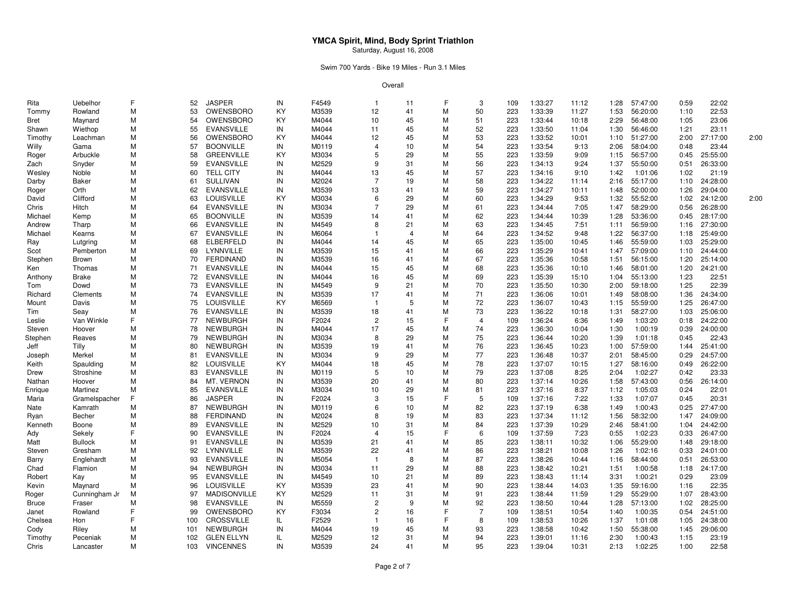### Swim 700 Yards - Bike 19 Miles - Run 3.1 Miles

| Rita         | Uebelhor       | F | 52  | <b>JASPER</b>       | IN | F4549 | $\overline{1}$ | 11             | F | 3              | 109 | 1:33:27 | 11:12          | 1:28 | 57:47:00 | 0:59 | 22:02    |      |
|--------------|----------------|---|-----|---------------------|----|-------|----------------|----------------|---|----------------|-----|---------|----------------|------|----------|------|----------|------|
| Tommy        | Rowland        | М | 53  | OWENSBORO           | KY | M3539 | 12             | 41             | M | 50             | 223 | 1:33:39 | 11:27          | 1:53 | 56:20:00 | 1:10 | 22:53    |      |
| Bret         | Maynard        | М | 54  | OWENSBORO           | KY | M4044 | 10             | 45             | M | 51             | 223 | 1:33:44 | 10:18          | 2:29 | 56:48:00 | 1:05 | 23:06    |      |
| Shawn        | Wiethop        | Μ | 55  | <b>EVANSVILLE</b>   | IN | M4044 | 11             | 45             | M | 52             | 223 | 1:33:50 | 11:04          | 1:30 | 56:46:00 | 1:21 | 23:11    |      |
| Timothy      | Leachman       | М | 56  | OWENSBORO           | KY | M4044 | 12             | 45             | M | 53             | 223 | 1:33:52 | 10:01          | 1:10 | 51:27:00 | 2:00 | 27:17:00 | 2:00 |
| Willy        | Gama           | М | 57  | <b>BOONVILLE</b>    | IN | M0119 | 4              | 10             | M | 54             | 223 | 1:33:54 | 9:13           | 2:06 | 58:04:00 | 0:48 | 23:44    |      |
| Roger        | Arbuckle       | м | 58  | <b>GREENVILLE</b>   | KY | M3034 | 5              | 29             | M | 55             | 223 | 1:33:59 | 9:09           | 1:15 | 56:57:00 | 0:45 | 25:55:00 |      |
| Zach         | Snyder         | М | 59  | <b>EVANSVILLE</b>   | IN | M2529 | 9              | 31             | M | 56             | 223 | 1:34:13 | 9:24           | 1:37 | 55:50:00 | 0:51 | 26:33:00 |      |
| Wesley       | Noble          | М | 60  | <b>TELL CITY</b>    | IN | M4044 | 13             | 45             | M | 57             | 223 | 1:34:16 | 9:10           | 1:42 | 1:01:06  | 1:02 | 21:19    |      |
| Darby        | <b>Baker</b>   | М | 61  | <b>SULLIVAN</b>     | IN | M2024 | $\overline{7}$ | 19             | M | 58             | 223 | 1:34:22 | 11:14          | 2:16 | 55:17:00 | 1:10 | 24:28:00 |      |
| Roger        | Orth           | М | 62  | <b>EVANSVILLE</b>   | IN | M3539 | 13             | 41             | M | 59             | 223 | 1:34:27 | 10:11          | 1:48 | 52:00:00 | 1:26 | 29:04:00 |      |
| David        | Clifford       | М | 63  | <b>LOUISVILLE</b>   | KY | M3034 | 6              | 29             | M | 60             | 223 | 1:34:29 | 9:53           | 1:32 | 55:52:00 | 1:02 | 24:12:00 | 2:00 |
| Chris        | Hitch          | М | 64  | <b>EVANSVILLE</b>   | IN | M3034 | $\overline{7}$ | 29             | M | 61             | 223 | 1:34:44 | 7:05           | 1:47 | 58:29:00 | 0:56 | 26:28:00 |      |
| Michael      | Kemp           | м | 65  | <b>BOONVILLE</b>    | IN | M3539 | 14             | 41             | M | 62             | 223 | 1:34:44 | 10:39          | 1:28 | 53:36:00 | 0:45 | 28:17:00 |      |
| Andrew       | Tharp          | М | 66  | <b>EVANSVILLE</b>   | IN | M4549 | 8              | 21             | M | 63             | 223 | 1:34:45 | 7:51           | 1:11 | 56:59:00 | 1:16 | 27:30:00 |      |
| Michael      | Kearns         | М | 67  | <b>EVANSVILLE</b>   | IN | M6064 | $\mathbf{1}$   | $\overline{4}$ | M | 64             | 223 | 1:34:52 | 9:48           | 1:22 | 56:37:00 | 1:18 | 25:49:00 |      |
| Ray          | Lutgring       | М | 68  | <b>ELBERFELD</b>    | IN | M4044 | 14             | 45             | M | 65             | 223 | 1:35:00 | 10:45          | 1:46 | 55:59:00 | 1:03 | 25:29:00 |      |
|              | Pemberton      | М | 69  | LYNNVILLE           | IN | M3539 | 15             | 41             | M | 66             | 223 | 1:35:29 |                |      | 57:09:00 | 1:10 | 24:44:00 |      |
| Scot         | <b>Brown</b>   | М | 70  | <b>FERDINAND</b>    | IN | M3539 | 16             | 41             | M | 67             | 223 | 1:35:36 | 10:41<br>10:58 | 1:47 | 56:15:00 | 1:20 | 25:14:00 |      |
| Stephen      |                | М | 71  | <b>EVANSVILLE</b>   | IN | M4044 |                | 45             | M | 68             | 223 | 1:35:36 |                | 1:51 |          |      | 24:21:00 |      |
| Ken          | Thomas         |   |     |                     |    |       | 15             |                |   |                |     |         | 10:10          | 1:46 | 58:01:00 | 1:20 |          |      |
| Anthony      | <b>Brake</b>   | М | 72  | <b>EVANSVILLE</b>   | IN | M4044 | 16             | 45             | M | 69             | 223 | 1:35:39 | 15:10          | 1:04 | 55:13:00 | 1:23 | 22:51    |      |
| Tom          | Dowd           | М | 73  | <b>EVANSVILLE</b>   | IN | M4549 | 9              | 21             | M | 70             | 223 | 1:35:50 | 10:30          | 2:00 | 59:18:00 | 1:25 | 22:39    |      |
| Richard      | Clements       | М | 74  | <b>EVANSVILLE</b>   | IN | M3539 | 17             | 41             | M | 71             | 223 | 1:36:06 | 10:01          | 1:49 | 58:08:00 | 1:36 | 24:34:00 |      |
| Mount        | Davis          | М | 75  | <b>LOUISVILLE</b>   | KY | M6569 | $\mathbf{1}$   | 5              | M | 72             | 223 | 1:36:07 | 10:43          | 1:15 | 55:59:00 | 1:25 | 26:47:00 |      |
| Tim          | Seay           | M | 76  | <b>EVANSVILLE</b>   | IN | M3539 | 18             | 41             | M | 73             | 223 | 1:36:22 | 10:18          | 1:31 | 58:27:00 | 1:03 | 25:06:00 |      |
| Leslie       | Van Winkle     |   | 77  | NEWBURGH            | IN | F2024 | $\overline{c}$ | 15             | F | $\overline{4}$ | 109 | 1:36:24 | 6:36           | 1:49 | 1:03:20  | 0:18 | 24:22:00 |      |
| Steven       | Hoover         | М | 78  | <b>NEWBURGH</b>     | IN | M4044 | 17             | 45             | M | 74             | 223 | 1:36:30 | 10:04          | 1:30 | 1:00:19  | 0:39 | 24:00:00 |      |
| Stephen      | Reaves         | М | 79  | <b>NEWBURGH</b>     | IN | M3034 | 8              | 29             | M | 75             | 223 | 1:36:44 | 10:20          | 1:39 | 1:01:18  | 0:45 | 22:43    |      |
| Jeff         | Tilly          | М | 80  | NEWBURGH            | IN | M3539 | 19             | 41             | M | 76             | 223 | 1:36:45 | 10:23          | 1:00 | 57:59:00 | 1:44 | 25:41:00 |      |
| Joseph       | Merkel         | М | 81  | <b>EVANSVILLE</b>   | IN | M3034 | 9              | 29             | M | 77             | 223 | 1:36:48 | 10:37          | 2:01 | 58:45:00 | 0:29 | 24:57:00 |      |
| Keith        | Spaulding      | Μ | 82  | <b>LOUISVILLE</b>   | KY | M4044 | 18             | 45             | M | 78             | 223 | 1:37:07 | 10:15          | 1:27 | 58:16:00 | 0:49 | 26:22:00 |      |
| Drew         | Stroshine      | М | 83  | <b>EVANSVILLE</b>   | IN | M0119 | 5              | 10             | M | 79             | 223 | 1:37:08 | 8:25           | 2:04 | 1:02:27  | 0:42 | 23:33    |      |
| Nathan       | Hoover         | М | 84  | MT. VERNON          | IN | M3539 | 20             | 41             | M | 80             | 223 | 1:37:14 | 10:26          | 1:58 | 57:43:00 | 0:56 | 26:14:00 |      |
| Enrique      | Martinez       | М | 85  | <b>EVANSVILLE</b>   | IN | M3034 | 10             | 29             | M | 81             | 223 | 1:37:16 | 8:37           | 1:12 | 1:05:03  | 0:24 | 22:01    |      |
| Maria        | Gramelspacher  |   | 86  | <b>JASPER</b>       | IN | F2024 | 3              | 15             | F | 5              | 109 | 1:37:16 | 7:22           | 1:33 | 1:07:07  | 0:45 | 20:31    |      |
| Nate         | Kamrath        | М | 87  | <b>NEWBURGH</b>     | IN | M0119 | 6              | 10             | M | 82             | 223 | 1:37:19 | 6:38           | 1:49 | 1:00:43  | 0:25 | 27:47:00 |      |
| Ryan         | Becher         | М | 88  | <b>FERDINAND</b>    | IN | M2024 | 8              | 19             | M | 83             | 223 | 1:37:34 | 11:12          | 1:56 | 58:32:00 | 1:47 | 24:09:00 |      |
| Kenneth      | Boone          | М | 89  | <b>EVANSVILLE</b>   | IN | M2529 | 10             | 31             | M | 84             | 223 | 1:37:39 | 10:29          | 2:46 | 58:41:00 | 1:04 | 24:42:00 |      |
| Ady          | Sekely         |   | 90  | <b>EVANSVILLE</b>   | IN | F2024 | $\overline{4}$ | 15             | F | 6              | 109 | 1:37:59 | 7:23           | 0:55 | 1:02:23  | 0:33 | 26:47:00 |      |
| Matt         | <b>Bullock</b> | М | 91  | <b>EVANSVILLE</b>   | IN | M3539 | 21             | 41             | M | 85             | 223 | 1:38:11 | 10:32          | 1:06 | 55:29:00 | 1:48 | 29:18:00 |      |
| Steven       | Gresham        | М | 92  | LYNNVILLE           | IN | M3539 | 22             | 41             | M | 86             | 223 | 1:38:21 | 10:08          | 1:26 | 1:02:16  | 0:33 | 24:01:00 |      |
| Barry        | Englehardt     | М | 93  | <b>EVANSVILLE</b>   | IN | M5054 | $\overline{1}$ | 8              | M | 87             | 223 | 1:38:26 | 10:44          | 1:16 | 58:44:00 | 0:51 | 26:53:00 |      |
| Chad         | Flamion        | М | 94  | NEWBURGH            | IN | M3034 | 11             | 29             | M | 88             | 223 | 1:38:42 | 10:21          | 1:51 | 1:00:58  | 1:18 | 24:17:00 |      |
| Robert       | Kay            | М | 95  | <b>EVANSVILLE</b>   | IN | M4549 | 10             | 21             | M | 89             | 223 | 1:38:43 | 11:14          | 3:31 | 1:00:21  | 0:29 | 23:09    |      |
| Kevin        | Maynard        | М | 96  | <b>LOUISVILLE</b>   | KY | M3539 | 23             | 41             | M | 90             | 223 | 1:38:44 | 14:03          | 1:35 | 59:16:00 | 1:16 | 22:35    |      |
| Roger        | Cunningham Jr  | м | 97  | <b>MADISONVILLE</b> | KY | M2529 | 11             | 31             | M | 91             | 223 | 1:38:44 | 11:59          | 1:29 | 55:29:00 | 1:07 | 28:43:00 |      |
| <b>Bruce</b> | Fraser         | Μ | 98  | <b>EVANSVILLE</b>   | IN | M5559 | $\overline{c}$ | 9              | M | 92             | 223 | 1:38:50 | 10:44          | 1:28 | 57:13:00 | 1:02 | 28:25:00 |      |
| Janet        | Rowland        |   | 99  | OWENSBORO           | KY | F3034 | $\overline{c}$ | 16             | E | $\overline{7}$ | 109 | 1:38:51 | 10:54          | 1:40 | 1:00:35  | 0:54 | 24:51:00 |      |
| Chelsea      | Hon            |   | 100 | CROSSVILLE          | IL | F2529 | $\mathbf{1}$   | 16             | F | 8              | 109 | 1:38:53 | 10:26          | 1:37 | 1:01:08  | 1:05 | 24:38:00 |      |
| Cody         | Riley          | м | 101 | NEWBURGH            | IN | M4044 | 19             | 45             | M | 93             | 223 | 1:38:58 | 10:42          | 1:50 | 55:38:00 | 1:45 | 29:06:00 |      |
| Timothy      | Peceniak       | М | 102 | <b>GLEN ELLYN</b>   | IL | M2529 | 12             | 31             | M | 94             | 223 | 1:39:01 | 11:16          | 2:30 | 1:00:43  | 1:15 | 23:19    |      |
| Chris        | Lancaster      | М | 103 | <b>VINCENNES</b>    | IN | M3539 | 24             | 41             | M | 95             | 223 | 1:39:04 | 10:31          | 2:13 | 1:02:25  | 1:00 | 22:58    |      |
|              |                |   |     |                     |    |       |                |                |   |                |     |         |                |      |          |      |          |      |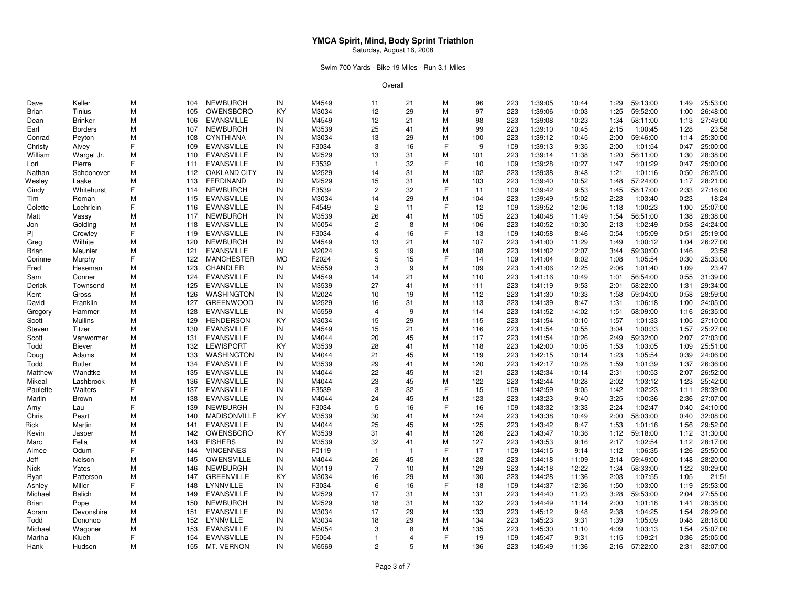### Swim 700 Yards - Bike 19 Miles - Run 3.1 Miles

| M<br>OWENSBORO<br>KY<br>M3034<br>12<br>29<br>M<br>97<br>223<br>59:52:00<br>26:48:00<br><b>Brian</b><br>Tinius<br>1:39:06<br>10:03<br>1:25<br>1:00<br>105<br><b>Brinker</b><br>M<br><b>EVANSVILLE</b><br>IN<br>M4549<br>12<br>21<br>M<br>98<br>223<br>1:39:08<br>10:23<br>1:34<br>58:11:00<br>1:13<br>27:49:00<br>106<br>Dean<br><b>NEWBURGH</b><br>M3539<br>99<br>23:58<br><b>Borders</b><br>М<br>107<br>IN<br>25<br>41<br>М<br>223<br>1:39:10<br>10:45<br>2:15<br>1:00:45<br>1:28<br>Earl<br>25:30:00<br>Peyton<br>м<br>108<br><b>CYNTHIANA</b><br>IN<br>M3034<br>13<br>29<br>М<br>100<br>223<br>1:39:12<br>10:45<br>2:00<br>59:46:00<br>Conrad<br>1:14<br>F<br>F<br>25:00:00<br><b>EVANSVILLE</b><br>F3034<br>3<br>16<br>9<br>1:39:13<br>9:35<br>1:01:54<br>Christy<br>109<br>IN<br>109<br>2:00<br>0:47<br>Alvey<br>M2529<br>M<br>1:39:14<br>28:38:00<br>William<br>M<br><b>EVANSVILLE</b><br>IN<br>13<br>31<br>101<br>223<br>11:38<br>1:20<br>56:11:00<br>1:30<br>Wargel Jr.<br>110<br>F<br>F3539<br>32<br>F<br>25:00:00<br>Pierre<br><b>EVANSVILLE</b><br>IN<br>$\overline{1}$<br>10<br>109<br>1:39:28<br>10:27<br>1:47<br>1:01:29<br>0:47<br>Lori<br>111<br>M2529<br>М<br>26:25:00<br>Nathan<br>Schoonover<br>м<br><b>OAKLAND CITY</b><br>IN<br>14<br>31<br>102<br>223<br>1:39:38<br>9:48<br>1:21<br>1:01:16<br>0:50<br>112<br>31<br>M<br>Laake<br>M<br><b>FERDINAND</b><br>IN<br>M2529<br>15<br>28:21:00<br>Wesley<br>113<br>103<br>223<br>1:39:40<br>10:52<br>1:48<br>57:24:00<br>1:17<br>F<br><b>NEWBURGH</b><br>F3539<br>$\overline{c}$<br>32<br>F<br>1:39:42<br>9:53<br>58:17:00<br>27:16:00<br>Whitehurst<br>IN<br>11<br>109<br>1:45<br>2:33<br>Cindy<br>114<br><b>EVANSVILLE</b><br>M3034<br>29<br>М<br>18:24<br>Roman<br>м<br>115<br>IN<br>14<br>104<br>223<br>1:39:49<br>15:02<br>2:23<br>1:03:40<br>0:23<br>Tim<br>F<br>F<br>Loehrlein<br><b>EVANSVILLE</b><br>F4549<br>2<br>12<br>109<br>1:39:52<br>12:06<br>1:00:23<br>25:07:00<br>Colette<br>116<br>IN<br>11<br>1:18<br>1:00<br><b>NEWBURGH</b><br>M3539<br>М<br>28:38:00<br>м<br>IN<br>26<br>41<br>105<br>223<br>1:40:48<br>56:51:00<br>Vassy<br>117<br>11:49<br>1:54<br>1:38<br>Matt<br>$\overline{c}$<br>Golding<br><b>EVANSVILLE</b><br>M5054<br>8<br>М<br>106<br>1:40:52<br>10:30<br>1:02:49<br>24:24:00<br>м<br>118<br>IN<br>223<br>2:13<br>0:58<br>Jon<br>F<br>F<br>Pi<br><b>EVANSVILLE</b><br>F3034<br>16<br>13<br>109<br>1:40:58<br>8:46<br>0:54<br>1:05:09<br>25:19:00<br>Crowley<br>119<br>IN<br>$\overline{4}$<br>0:51<br>M<br>Wilhite<br>M<br><b>NEWBURGH</b><br>IN<br>M4549<br>13<br>21<br>107<br>223<br>11:29<br>1:00:12<br>26:27:00<br>Greg<br>120<br>1:41:00<br>1:49<br>1:04<br>М<br>23:58<br>Meunier<br>М<br>121<br><b>EVANSVILLE</b><br>IN<br>M2024<br>9<br>19<br>108<br>223<br>1:41:02<br>12:07<br>3:44<br>59:30:00<br>1:46<br>Brian<br>F<br>F<br>25:33:00<br><b>MANCHESTER</b><br><b>MO</b><br>F2024<br>5<br>15<br>14<br>8:02<br>1:05:54<br>Murphy<br>122<br>109<br>1:41:04<br>1:08<br>0:30<br>Corinne<br>23:47<br>M<br>123<br>CHANDLER<br>IN<br>M5559<br>3<br>9<br>М<br>109<br>223<br>1:41:06<br>12:25<br>2:06<br>1:01:40<br>1:09<br>Heseman<br>Fred<br><b>EVANSVILLE</b><br>M4549<br>21<br>М<br>56:54:00<br>31:39:00<br>Conner<br>м<br>124<br>IN<br>14<br>110<br>223<br>1:41:16<br>10:49<br>1:01<br>0:55<br>Sam<br><b>EVANSVILLE</b><br>M3539<br>27<br>М<br>29:34:00<br>Townsend<br>м<br>125<br>IN<br>41<br>111<br>223<br>1:41:19<br>9:53<br>2:01<br>58:22:00<br>Derick<br>1:31<br>M2024<br>M<br>28:59:00<br>M<br>126<br><b>WASHINGTON</b><br>10<br>19<br>112<br>223<br>1:41:30<br>10:33<br>1:58<br>59:04:00<br>0:58<br>Gross<br>IN<br>Kent<br>Franklin<br><b>GREENWOOD</b><br>M2529<br>М<br>223<br>1:41:39<br>8:47<br>1:06:18<br>24:05:00<br>м<br>127<br>IN<br>16<br>31<br>113<br>1:31<br>1:00<br>David<br>M5559<br>M<br>26:35:00<br>м<br>128<br><b>EVANSVILLE</b><br>IN<br>9<br>114<br>223<br>1:41:52<br>14:02<br>1:51<br>58:09:00<br>Gregory<br>Hammer<br>$\overline{4}$<br>1:16<br><b>Mullins</b><br>M<br><b>HENDERSON</b><br>KY<br>M3034<br>15<br>29<br>M<br>223<br>1:41:54<br>10:10<br>1:01:33<br>27:10:00<br>Scott<br>129<br>115<br>1:57<br>1:05<br>21<br>М<br>25:27:00<br>М<br><b>EVANSVILLE</b><br>IN<br>M4549<br>15<br>223<br>1:41:54<br>10:55<br>3:04<br>1:00:33<br>Steven<br>Titzer<br>130<br>116<br>1:57<br><b>EVANSVILLE</b><br>M4044<br>20<br>45<br>M<br>223<br>59:32:00<br>27:03:00<br>м<br>131<br>IN<br>117<br>1:41:54<br>10:26<br>2:49<br>2:07<br>Scott<br>Vanwormer<br>25:51:00<br>M<br><b>LEWISPORT</b><br>KY<br>M3539<br>28<br>41<br>M<br>118<br>223<br>1:42:00<br>10:05<br>1:53<br>1:03:05<br>Todd<br>132<br>1:09<br><b>Biever</b><br>M<br><b>WASHINGTON</b><br>M4044<br>21<br>45<br>М<br>119<br>223<br>1:42:15<br>10:14<br>1:05:54<br>24:06:00<br>Doug<br>Adams<br>133<br>IN<br>1:23<br>0:39<br><b>EVANSVILLE</b><br>M3539<br>29<br>М<br>120<br>223<br>1:42:17<br>26:36:00<br><b>Butler</b><br>м<br>IN<br>41<br>10:28<br>1:59<br>1:01:39<br>1:37<br>Todd<br>134<br>22<br>M<br>26:52:00<br>Wandtke<br>м<br><b>EVANSVILLE</b><br>IN<br>M4044<br>45<br>121<br>223<br>1:42:34<br>2:31<br>1:00:53<br>2:07<br>Matthew<br>135<br>10:14<br>Lashbrook<br>M<br><b>EVANSVILLE</b><br>IN<br>M4044<br>23<br>45<br>М<br>122<br>223<br>1:42:44<br>10:28<br>2:02<br>1:03:12<br>1:23<br>25:42:00<br>Mikeal<br>136<br>F<br>F<br>F3539<br>3<br>32<br>15<br>137<br><b>EVANSVILLE</b><br>IN<br>109<br>1:42:59<br>9:05<br>1:42<br>1:02:23<br>28:39:00<br>Paulette<br>Walters<br>1:11<br>M<br>M<br>IN<br>M4044<br>45<br>Martin<br>138<br><b>EVANSVILLE</b><br>24<br>123<br>223<br>1:43:23<br>9:40<br>3:25<br>1:00:36<br>2:36<br>27:07:00<br>Brown<br>F<br><b>NEWBURGH</b><br>5<br>F<br>24:10:00<br>IN<br>F3034<br>16<br>16<br>109<br>1:43:32<br>13:33<br>2:24<br>1:02:47<br>139<br>0:40<br>Amy<br>Lau<br>м<br>140<br><b>MADISONVILLE</b><br>KY<br>M3539<br>30<br>41<br>М<br>124<br>223<br>1:43:38<br>10:49<br>2:00<br>58:03:00<br>0:40<br>32:08:00<br>Chris<br>Peart<br><b>EVANSVILLE</b><br>M4044<br>25<br>M<br>125<br>223<br>1:43:42<br>29:52:00<br>Rick<br>Martin<br>м<br>IN<br>45<br>8:47<br>1:53<br>1:01:16<br>1:56<br>141<br>OWENSBORO<br>M3539<br>M<br>126<br>223<br>1:43:47<br>59:18:00<br>31:30:00<br>Jasper<br>м<br>142<br>KY<br>31<br>41<br>10:36<br>1:12<br>1:12<br>Kevin<br><b>FISHERS</b><br>M3539<br>М<br>127<br>28:17:00<br>Fella<br>м<br>143<br>IN<br>32<br>223<br>1:43:53<br>9:16<br>2:17<br>1:02:54<br>1:12<br>Marc<br>41<br>F<br><b>VINCENNES</b><br>$\overline{1}$<br>F<br>17<br>1:06:35<br>25:50:00<br>Odum<br>IN<br>F0119<br>109<br>1:44:15<br>9:14<br>1:12<br>1:26<br>144<br>-1<br>Aimee<br>Nelson<br>M<br>OWENSVILLE<br>M4044<br>26<br>45<br>M<br>128<br>59:49:00<br>28:20:00<br>Jeff<br>145<br>IN<br>223<br>1:44:18<br>11:09<br>3:14<br>1:48<br>M<br><b>NEWBURGH</b><br>IN<br>M0119<br>$\overline{7}$<br>10<br>М<br>129<br>223<br>1:44:18<br>12:22<br>1:34<br>58:33:00<br>1:22<br>30:29:00<br>Nick<br>Yates<br>146<br><b>GREENVILLE</b><br>KY<br>M3034<br>29<br>М<br>м<br>16<br>130<br>223<br>1:44:28<br>11:36<br>2:03<br>1:07:55<br>1:05<br>21:51<br>Ryan<br>Patterson<br>147<br>F<br>25:53:00<br>F.<br>LYNNVILLE<br>F3034<br>16<br>18<br>109<br>1:44:37<br>1:03:00<br>Miller<br>148<br>IN<br>6<br>12:36<br>1:50<br>1:19<br>Ashley<br>27:55:00<br><b>Balich</b><br>M<br><b>EVANSVILLE</b><br>IN<br>M2529<br>17<br>31<br>М<br>131<br>223<br>1:44:40<br>11:23<br>3:28<br>59:53:00<br>2:04<br>Michael<br>149<br><b>NEWBURGH</b><br>м<br>IN<br>M2529<br>18<br>31<br>М<br>132<br>223<br>1:44:49<br>11:14<br>2:00<br>1:01:18<br>28:38:00<br>Brian<br>Pope<br>150<br>1:41<br><b>EVANSVILLE</b><br>M3034<br>17<br>29<br>M<br>133<br>223<br>1:04:25<br>26:29:00<br>м<br>151<br>IN<br>1:45:12<br>9:48<br>2:38<br>1:54<br>Abram<br>Devonshire<br>M3034<br>29<br>1:05:09<br>28:18:00<br>M<br>152<br>LYNNVILLE<br>IN<br>18<br>М<br>134<br>223<br>1:45:23<br>9:31<br>1:39<br>Todd<br>Donohoo<br>0:48<br>м<br>153<br><b>EVANSVILLE</b><br>IN<br>M5054<br>3<br>8<br>М<br>135<br>223<br>1:45:30<br>11:10<br>4:09<br>1:03:13<br>25:07:00<br>Michael<br>Wagoner<br>1:54<br>F<br>F<br><b>EVANSVILLE</b><br>F5054<br>19<br>9:31<br>1:09:21<br>25:05:00<br>Martha<br>Klueh<br>154<br>IN<br>$\overline{1}$<br>$\overline{4}$<br>109<br>1:45:47<br>1:15<br>0:36<br>5<br>M<br>M<br>IN<br>M6569<br>2<br>223<br>155<br>136<br>1:45:49<br>11:36<br>2:16<br>57:22:00<br>2:31 | Dave | Keller | М | 104 | NEWBURGH   | IN | M4549 | 11 | 21 | М | 96 | 223 | 1:39:05 | 10:44 | 1:29 | 59:13:00 | 1:49 | 25:53:00 |
|---------------------------------------------------------------------------------------------------------------------------------------------------------------------------------------------------------------------------------------------------------------------------------------------------------------------------------------------------------------------------------------------------------------------------------------------------------------------------------------------------------------------------------------------------------------------------------------------------------------------------------------------------------------------------------------------------------------------------------------------------------------------------------------------------------------------------------------------------------------------------------------------------------------------------------------------------------------------------------------------------------------------------------------------------------------------------------------------------------------------------------------------------------------------------------------------------------------------------------------------------------------------------------------------------------------------------------------------------------------------------------------------------------------------------------------------------------------------------------------------------------------------------------------------------------------------------------------------------------------------------------------------------------------------------------------------------------------------------------------------------------------------------------------------------------------------------------------------------------------------------------------------------------------------------------------------------------------------------------------------------------------------------------------------------------------------------------------------------------------------------------------------------------------------------------------------------------------------------------------------------------------------------------------------------------------------------------------------------------------------------------------------------------------------------------------------------------------------------------------------------------------------------------------------------------------------------------------------------------------------------------------------------------------------------------------------------------------------------------------------------------------------------------------------------------------------------------------------------------------------------------------------------------------------------------------------------------------------------------------------------------------------------------------------------------------------------------------------------------------------------------------------------------------------------------------------------------------------------------------------------------------------------------------------------------------------------------------------------------------------------------------------------------------------------------------------------------------------------------------------------------------------------------------------------------------------------------------------------------------------------------------------------------------------------------------------------------------------------------------------------------------------------------------------------------------------------------------------------------------------------------------------------------------------------------------------------------------------------------------------------------------------------------------------------------------------------------------------------------------------------------------------------------------------------------------------------------------------------------------------------------------------------------------------------------------------------------------------------------------------------------------------------------------------------------------------------------------------------------------------------------------------------------------------------------------------------------------------------------------------------------------------------------------------------------------------------------------------------------------------------------------------------------------------------------------------------------------------------------------------------------------------------------------------------------------------------------------------------------------------------------------------------------------------------------------------------------------------------------------------------------------------------------------------------------------------------------------------------------------------------------------------------------------------------------------------------------------------------------------------------------------------------------------------------------------------------------------------------------------------------------------------------------------------------------------------------------------------------------------------------------------------------------------------------------------------------------------------------------------------------------------------------------------------------------------------------------------------------------------------------------------------------------------------------------------------------------------------------------------------------------------------------------------------------------------------------------------------------------------------------------------------------------------------------------------------------------------------------------------------------------------------------------------------------------------------------------------------------------------------------------------------------------------------------------------------------------------------------------------------------------------------------------------------------------------------------------------------------------------------------------------------------------------------------------------------------------------------------------------------------------------------------------------------------------------------------------------------------------------------------------------------------------------------------------------------------------------------------------------------------------------------------------------------------------------------------------------------------------------------------------------------------------------------------------------------------------------------------------------------------------------------------------------------------------------------------------------------------------------------------------------------------------------------------------------------------------------------------------------------------------------------------------------------------------------------------------------------------------------------------------------------------------------------------------------------------------------------------------------------------------------------------------------------------------------------------------------------------------------------------------------------------------------------------------------------------------------------------------------------------------------------------------------------------------------------------------------------------------------------------------------------------------------------------------------------------------------------------------------------------------------------------------------------------------------------------------------------------------------------|------|--------|---|-----|------------|----|-------|----|----|---|----|-----|---------|-------|------|----------|------|----------|
|                                                                                                                                                                                                                                                                                                                                                                                                                                                                                                                                                                                                                                                                                                                                                                                                                                                                                                                                                                                                                                                                                                                                                                                                                                                                                                                                                                                                                                                                                                                                                                                                                                                                                                                                                                                                                                                                                                                                                                                                                                                                                                                                                                                                                                                                                                                                                                                                                                                                                                                                                                                                                                                                                                                                                                                                                                                                                                                                                                                                                                                                                                                                                                                                                                                                                                                                                                                                                                                                                                                                                                                                                                                                                                                                                                                                                                                                                                                                                                                                                                                                                                                                                                                                                                                                                                                                                                                                                                                                                                                                                                                                                                                                                                                                                                                                                                                                                                                                                                                                                                                                                                                                                                                                                                                                                                                                                                                                                                                                                                                                                                                                                                                                                                                                                                                                                                                                                                                                                                                                                                                                                                                                                                                                                                                                                                                                                                                                                                                                                                                                                                                                                                                                                                                                                                                                                                                                                                                                                                                                                                                                                                                                                                                                                                                                                                                                                                                                                                                                                                                                                                                                                                                                                                                                                                                                                                                                                                                                                                                                                                                                                                                                                                                                                                                                                                                                                                     |      |        |   |     |            |    |       |    |    |   |    |     |         |       |      |          |      |          |
|                                                                                                                                                                                                                                                                                                                                                                                                                                                                                                                                                                                                                                                                                                                                                                                                                                                                                                                                                                                                                                                                                                                                                                                                                                                                                                                                                                                                                                                                                                                                                                                                                                                                                                                                                                                                                                                                                                                                                                                                                                                                                                                                                                                                                                                                                                                                                                                                                                                                                                                                                                                                                                                                                                                                                                                                                                                                                                                                                                                                                                                                                                                                                                                                                                                                                                                                                                                                                                                                                                                                                                                                                                                                                                                                                                                                                                                                                                                                                                                                                                                                                                                                                                                                                                                                                                                                                                                                                                                                                                                                                                                                                                                                                                                                                                                                                                                                                                                                                                                                                                                                                                                                                                                                                                                                                                                                                                                                                                                                                                                                                                                                                                                                                                                                                                                                                                                                                                                                                                                                                                                                                                                                                                                                                                                                                                                                                                                                                                                                                                                                                                                                                                                                                                                                                                                                                                                                                                                                                                                                                                                                                                                                                                                                                                                                                                                                                                                                                                                                                                                                                                                                                                                                                                                                                                                                                                                                                                                                                                                                                                                                                                                                                                                                                                                                                                                                                                     |      |        |   |     |            |    |       |    |    |   |    |     |         |       |      |          |      |          |
|                                                                                                                                                                                                                                                                                                                                                                                                                                                                                                                                                                                                                                                                                                                                                                                                                                                                                                                                                                                                                                                                                                                                                                                                                                                                                                                                                                                                                                                                                                                                                                                                                                                                                                                                                                                                                                                                                                                                                                                                                                                                                                                                                                                                                                                                                                                                                                                                                                                                                                                                                                                                                                                                                                                                                                                                                                                                                                                                                                                                                                                                                                                                                                                                                                                                                                                                                                                                                                                                                                                                                                                                                                                                                                                                                                                                                                                                                                                                                                                                                                                                                                                                                                                                                                                                                                                                                                                                                                                                                                                                                                                                                                                                                                                                                                                                                                                                                                                                                                                                                                                                                                                                                                                                                                                                                                                                                                                                                                                                                                                                                                                                                                                                                                                                                                                                                                                                                                                                                                                                                                                                                                                                                                                                                                                                                                                                                                                                                                                                                                                                                                                                                                                                                                                                                                                                                                                                                                                                                                                                                                                                                                                                                                                                                                                                                                                                                                                                                                                                                                                                                                                                                                                                                                                                                                                                                                                                                                                                                                                                                                                                                                                                                                                                                                                                                                                                                                     |      |        |   |     |            |    |       |    |    |   |    |     |         |       |      |          |      |          |
|                                                                                                                                                                                                                                                                                                                                                                                                                                                                                                                                                                                                                                                                                                                                                                                                                                                                                                                                                                                                                                                                                                                                                                                                                                                                                                                                                                                                                                                                                                                                                                                                                                                                                                                                                                                                                                                                                                                                                                                                                                                                                                                                                                                                                                                                                                                                                                                                                                                                                                                                                                                                                                                                                                                                                                                                                                                                                                                                                                                                                                                                                                                                                                                                                                                                                                                                                                                                                                                                                                                                                                                                                                                                                                                                                                                                                                                                                                                                                                                                                                                                                                                                                                                                                                                                                                                                                                                                                                                                                                                                                                                                                                                                                                                                                                                                                                                                                                                                                                                                                                                                                                                                                                                                                                                                                                                                                                                                                                                                                                                                                                                                                                                                                                                                                                                                                                                                                                                                                                                                                                                                                                                                                                                                                                                                                                                                                                                                                                                                                                                                                                                                                                                                                                                                                                                                                                                                                                                                                                                                                                                                                                                                                                                                                                                                                                                                                                                                                                                                                                                                                                                                                                                                                                                                                                                                                                                                                                                                                                                                                                                                                                                                                                                                                                                                                                                                                                     |      |        |   |     |            |    |       |    |    |   |    |     |         |       |      |          |      |          |
|                                                                                                                                                                                                                                                                                                                                                                                                                                                                                                                                                                                                                                                                                                                                                                                                                                                                                                                                                                                                                                                                                                                                                                                                                                                                                                                                                                                                                                                                                                                                                                                                                                                                                                                                                                                                                                                                                                                                                                                                                                                                                                                                                                                                                                                                                                                                                                                                                                                                                                                                                                                                                                                                                                                                                                                                                                                                                                                                                                                                                                                                                                                                                                                                                                                                                                                                                                                                                                                                                                                                                                                                                                                                                                                                                                                                                                                                                                                                                                                                                                                                                                                                                                                                                                                                                                                                                                                                                                                                                                                                                                                                                                                                                                                                                                                                                                                                                                                                                                                                                                                                                                                                                                                                                                                                                                                                                                                                                                                                                                                                                                                                                                                                                                                                                                                                                                                                                                                                                                                                                                                                                                                                                                                                                                                                                                                                                                                                                                                                                                                                                                                                                                                                                                                                                                                                                                                                                                                                                                                                                                                                                                                                                                                                                                                                                                                                                                                                                                                                                                                                                                                                                                                                                                                                                                                                                                                                                                                                                                                                                                                                                                                                                                                                                                                                                                                                                                     |      |        |   |     |            |    |       |    |    |   |    |     |         |       |      |          |      |          |
|                                                                                                                                                                                                                                                                                                                                                                                                                                                                                                                                                                                                                                                                                                                                                                                                                                                                                                                                                                                                                                                                                                                                                                                                                                                                                                                                                                                                                                                                                                                                                                                                                                                                                                                                                                                                                                                                                                                                                                                                                                                                                                                                                                                                                                                                                                                                                                                                                                                                                                                                                                                                                                                                                                                                                                                                                                                                                                                                                                                                                                                                                                                                                                                                                                                                                                                                                                                                                                                                                                                                                                                                                                                                                                                                                                                                                                                                                                                                                                                                                                                                                                                                                                                                                                                                                                                                                                                                                                                                                                                                                                                                                                                                                                                                                                                                                                                                                                                                                                                                                                                                                                                                                                                                                                                                                                                                                                                                                                                                                                                                                                                                                                                                                                                                                                                                                                                                                                                                                                                                                                                                                                                                                                                                                                                                                                                                                                                                                                                                                                                                                                                                                                                                                                                                                                                                                                                                                                                                                                                                                                                                                                                                                                                                                                                                                                                                                                                                                                                                                                                                                                                                                                                                                                                                                                                                                                                                                                                                                                                                                                                                                                                                                                                                                                                                                                                                                                     |      |        |   |     |            |    |       |    |    |   |    |     |         |       |      |          |      |          |
|                                                                                                                                                                                                                                                                                                                                                                                                                                                                                                                                                                                                                                                                                                                                                                                                                                                                                                                                                                                                                                                                                                                                                                                                                                                                                                                                                                                                                                                                                                                                                                                                                                                                                                                                                                                                                                                                                                                                                                                                                                                                                                                                                                                                                                                                                                                                                                                                                                                                                                                                                                                                                                                                                                                                                                                                                                                                                                                                                                                                                                                                                                                                                                                                                                                                                                                                                                                                                                                                                                                                                                                                                                                                                                                                                                                                                                                                                                                                                                                                                                                                                                                                                                                                                                                                                                                                                                                                                                                                                                                                                                                                                                                                                                                                                                                                                                                                                                                                                                                                                                                                                                                                                                                                                                                                                                                                                                                                                                                                                                                                                                                                                                                                                                                                                                                                                                                                                                                                                                                                                                                                                                                                                                                                                                                                                                                                                                                                                                                                                                                                                                                                                                                                                                                                                                                                                                                                                                                                                                                                                                                                                                                                                                                                                                                                                                                                                                                                                                                                                                                                                                                                                                                                                                                                                                                                                                                                                                                                                                                                                                                                                                                                                                                                                                                                                                                                                                     |      |        |   |     |            |    |       |    |    |   |    |     |         |       |      |          |      |          |
|                                                                                                                                                                                                                                                                                                                                                                                                                                                                                                                                                                                                                                                                                                                                                                                                                                                                                                                                                                                                                                                                                                                                                                                                                                                                                                                                                                                                                                                                                                                                                                                                                                                                                                                                                                                                                                                                                                                                                                                                                                                                                                                                                                                                                                                                                                                                                                                                                                                                                                                                                                                                                                                                                                                                                                                                                                                                                                                                                                                                                                                                                                                                                                                                                                                                                                                                                                                                                                                                                                                                                                                                                                                                                                                                                                                                                                                                                                                                                                                                                                                                                                                                                                                                                                                                                                                                                                                                                                                                                                                                                                                                                                                                                                                                                                                                                                                                                                                                                                                                                                                                                                                                                                                                                                                                                                                                                                                                                                                                                                                                                                                                                                                                                                                                                                                                                                                                                                                                                                                                                                                                                                                                                                                                                                                                                                                                                                                                                                                                                                                                                                                                                                                                                                                                                                                                                                                                                                                                                                                                                                                                                                                                                                                                                                                                                                                                                                                                                                                                                                                                                                                                                                                                                                                                                                                                                                                                                                                                                                                                                                                                                                                                                                                                                                                                                                                                                                     |      |        |   |     |            |    |       |    |    |   |    |     |         |       |      |          |      |          |
|                                                                                                                                                                                                                                                                                                                                                                                                                                                                                                                                                                                                                                                                                                                                                                                                                                                                                                                                                                                                                                                                                                                                                                                                                                                                                                                                                                                                                                                                                                                                                                                                                                                                                                                                                                                                                                                                                                                                                                                                                                                                                                                                                                                                                                                                                                                                                                                                                                                                                                                                                                                                                                                                                                                                                                                                                                                                                                                                                                                                                                                                                                                                                                                                                                                                                                                                                                                                                                                                                                                                                                                                                                                                                                                                                                                                                                                                                                                                                                                                                                                                                                                                                                                                                                                                                                                                                                                                                                                                                                                                                                                                                                                                                                                                                                                                                                                                                                                                                                                                                                                                                                                                                                                                                                                                                                                                                                                                                                                                                                                                                                                                                                                                                                                                                                                                                                                                                                                                                                                                                                                                                                                                                                                                                                                                                                                                                                                                                                                                                                                                                                                                                                                                                                                                                                                                                                                                                                                                                                                                                                                                                                                                                                                                                                                                                                                                                                                                                                                                                                                                                                                                                                                                                                                                                                                                                                                                                                                                                                                                                                                                                                                                                                                                                                                                                                                                                                     |      |        |   |     |            |    |       |    |    |   |    |     |         |       |      |          |      |          |
|                                                                                                                                                                                                                                                                                                                                                                                                                                                                                                                                                                                                                                                                                                                                                                                                                                                                                                                                                                                                                                                                                                                                                                                                                                                                                                                                                                                                                                                                                                                                                                                                                                                                                                                                                                                                                                                                                                                                                                                                                                                                                                                                                                                                                                                                                                                                                                                                                                                                                                                                                                                                                                                                                                                                                                                                                                                                                                                                                                                                                                                                                                                                                                                                                                                                                                                                                                                                                                                                                                                                                                                                                                                                                                                                                                                                                                                                                                                                                                                                                                                                                                                                                                                                                                                                                                                                                                                                                                                                                                                                                                                                                                                                                                                                                                                                                                                                                                                                                                                                                                                                                                                                                                                                                                                                                                                                                                                                                                                                                                                                                                                                                                                                                                                                                                                                                                                                                                                                                                                                                                                                                                                                                                                                                                                                                                                                                                                                                                                                                                                                                                                                                                                                                                                                                                                                                                                                                                                                                                                                                                                                                                                                                                                                                                                                                                                                                                                                                                                                                                                                                                                                                                                                                                                                                                                                                                                                                                                                                                                                                                                                                                                                                                                                                                                                                                                                                                     |      |        |   |     |            |    |       |    |    |   |    |     |         |       |      |          |      |          |
|                                                                                                                                                                                                                                                                                                                                                                                                                                                                                                                                                                                                                                                                                                                                                                                                                                                                                                                                                                                                                                                                                                                                                                                                                                                                                                                                                                                                                                                                                                                                                                                                                                                                                                                                                                                                                                                                                                                                                                                                                                                                                                                                                                                                                                                                                                                                                                                                                                                                                                                                                                                                                                                                                                                                                                                                                                                                                                                                                                                                                                                                                                                                                                                                                                                                                                                                                                                                                                                                                                                                                                                                                                                                                                                                                                                                                                                                                                                                                                                                                                                                                                                                                                                                                                                                                                                                                                                                                                                                                                                                                                                                                                                                                                                                                                                                                                                                                                                                                                                                                                                                                                                                                                                                                                                                                                                                                                                                                                                                                                                                                                                                                                                                                                                                                                                                                                                                                                                                                                                                                                                                                                                                                                                                                                                                                                                                                                                                                                                                                                                                                                                                                                                                                                                                                                                                                                                                                                                                                                                                                                                                                                                                                                                                                                                                                                                                                                                                                                                                                                                                                                                                                                                                                                                                                                                                                                                                                                                                                                                                                                                                                                                                                                                                                                                                                                                                                                     |      |        |   |     |            |    |       |    |    |   |    |     |         |       |      |          |      |          |
|                                                                                                                                                                                                                                                                                                                                                                                                                                                                                                                                                                                                                                                                                                                                                                                                                                                                                                                                                                                                                                                                                                                                                                                                                                                                                                                                                                                                                                                                                                                                                                                                                                                                                                                                                                                                                                                                                                                                                                                                                                                                                                                                                                                                                                                                                                                                                                                                                                                                                                                                                                                                                                                                                                                                                                                                                                                                                                                                                                                                                                                                                                                                                                                                                                                                                                                                                                                                                                                                                                                                                                                                                                                                                                                                                                                                                                                                                                                                                                                                                                                                                                                                                                                                                                                                                                                                                                                                                                                                                                                                                                                                                                                                                                                                                                                                                                                                                                                                                                                                                                                                                                                                                                                                                                                                                                                                                                                                                                                                                                                                                                                                                                                                                                                                                                                                                                                                                                                                                                                                                                                                                                                                                                                                                                                                                                                                                                                                                                                                                                                                                                                                                                                                                                                                                                                                                                                                                                                                                                                                                                                                                                                                                                                                                                                                                                                                                                                                                                                                                                                                                                                                                                                                                                                                                                                                                                                                                                                                                                                                                                                                                                                                                                                                                                                                                                                                                                     |      |        |   |     |            |    |       |    |    |   |    |     |         |       |      |          |      |          |
|                                                                                                                                                                                                                                                                                                                                                                                                                                                                                                                                                                                                                                                                                                                                                                                                                                                                                                                                                                                                                                                                                                                                                                                                                                                                                                                                                                                                                                                                                                                                                                                                                                                                                                                                                                                                                                                                                                                                                                                                                                                                                                                                                                                                                                                                                                                                                                                                                                                                                                                                                                                                                                                                                                                                                                                                                                                                                                                                                                                                                                                                                                                                                                                                                                                                                                                                                                                                                                                                                                                                                                                                                                                                                                                                                                                                                                                                                                                                                                                                                                                                                                                                                                                                                                                                                                                                                                                                                                                                                                                                                                                                                                                                                                                                                                                                                                                                                                                                                                                                                                                                                                                                                                                                                                                                                                                                                                                                                                                                                                                                                                                                                                                                                                                                                                                                                                                                                                                                                                                                                                                                                                                                                                                                                                                                                                                                                                                                                                                                                                                                                                                                                                                                                                                                                                                                                                                                                                                                                                                                                                                                                                                                                                                                                                                                                                                                                                                                                                                                                                                                                                                                                                                                                                                                                                                                                                                                                                                                                                                                                                                                                                                                                                                                                                                                                                                                                                     |      |        |   |     |            |    |       |    |    |   |    |     |         |       |      |          |      |          |
|                                                                                                                                                                                                                                                                                                                                                                                                                                                                                                                                                                                                                                                                                                                                                                                                                                                                                                                                                                                                                                                                                                                                                                                                                                                                                                                                                                                                                                                                                                                                                                                                                                                                                                                                                                                                                                                                                                                                                                                                                                                                                                                                                                                                                                                                                                                                                                                                                                                                                                                                                                                                                                                                                                                                                                                                                                                                                                                                                                                                                                                                                                                                                                                                                                                                                                                                                                                                                                                                                                                                                                                                                                                                                                                                                                                                                                                                                                                                                                                                                                                                                                                                                                                                                                                                                                                                                                                                                                                                                                                                                                                                                                                                                                                                                                                                                                                                                                                                                                                                                                                                                                                                                                                                                                                                                                                                                                                                                                                                                                                                                                                                                                                                                                                                                                                                                                                                                                                                                                                                                                                                                                                                                                                                                                                                                                                                                                                                                                                                                                                                                                                                                                                                                                                                                                                                                                                                                                                                                                                                                                                                                                                                                                                                                                                                                                                                                                                                                                                                                                                                                                                                                                                                                                                                                                                                                                                                                                                                                                                                                                                                                                                                                                                                                                                                                                                                                                     |      |        |   |     |            |    |       |    |    |   |    |     |         |       |      |          |      |          |
|                                                                                                                                                                                                                                                                                                                                                                                                                                                                                                                                                                                                                                                                                                                                                                                                                                                                                                                                                                                                                                                                                                                                                                                                                                                                                                                                                                                                                                                                                                                                                                                                                                                                                                                                                                                                                                                                                                                                                                                                                                                                                                                                                                                                                                                                                                                                                                                                                                                                                                                                                                                                                                                                                                                                                                                                                                                                                                                                                                                                                                                                                                                                                                                                                                                                                                                                                                                                                                                                                                                                                                                                                                                                                                                                                                                                                                                                                                                                                                                                                                                                                                                                                                                                                                                                                                                                                                                                                                                                                                                                                                                                                                                                                                                                                                                                                                                                                                                                                                                                                                                                                                                                                                                                                                                                                                                                                                                                                                                                                                                                                                                                                                                                                                                                                                                                                                                                                                                                                                                                                                                                                                                                                                                                                                                                                                                                                                                                                                                                                                                                                                                                                                                                                                                                                                                                                                                                                                                                                                                                                                                                                                                                                                                                                                                                                                                                                                                                                                                                                                                                                                                                                                                                                                                                                                                                                                                                                                                                                                                                                                                                                                                                                                                                                                                                                                                                                                     |      |        |   |     |            |    |       |    |    |   |    |     |         |       |      |          |      |          |
|                                                                                                                                                                                                                                                                                                                                                                                                                                                                                                                                                                                                                                                                                                                                                                                                                                                                                                                                                                                                                                                                                                                                                                                                                                                                                                                                                                                                                                                                                                                                                                                                                                                                                                                                                                                                                                                                                                                                                                                                                                                                                                                                                                                                                                                                                                                                                                                                                                                                                                                                                                                                                                                                                                                                                                                                                                                                                                                                                                                                                                                                                                                                                                                                                                                                                                                                                                                                                                                                                                                                                                                                                                                                                                                                                                                                                                                                                                                                                                                                                                                                                                                                                                                                                                                                                                                                                                                                                                                                                                                                                                                                                                                                                                                                                                                                                                                                                                                                                                                                                                                                                                                                                                                                                                                                                                                                                                                                                                                                                                                                                                                                                                                                                                                                                                                                                                                                                                                                                                                                                                                                                                                                                                                                                                                                                                                                                                                                                                                                                                                                                                                                                                                                                                                                                                                                                                                                                                                                                                                                                                                                                                                                                                                                                                                                                                                                                                                                                                                                                                                                                                                                                                                                                                                                                                                                                                                                                                                                                                                                                                                                                                                                                                                                                                                                                                                                                                     |      |        |   |     |            |    |       |    |    |   |    |     |         |       |      |          |      |          |
|                                                                                                                                                                                                                                                                                                                                                                                                                                                                                                                                                                                                                                                                                                                                                                                                                                                                                                                                                                                                                                                                                                                                                                                                                                                                                                                                                                                                                                                                                                                                                                                                                                                                                                                                                                                                                                                                                                                                                                                                                                                                                                                                                                                                                                                                                                                                                                                                                                                                                                                                                                                                                                                                                                                                                                                                                                                                                                                                                                                                                                                                                                                                                                                                                                                                                                                                                                                                                                                                                                                                                                                                                                                                                                                                                                                                                                                                                                                                                                                                                                                                                                                                                                                                                                                                                                                                                                                                                                                                                                                                                                                                                                                                                                                                                                                                                                                                                                                                                                                                                                                                                                                                                                                                                                                                                                                                                                                                                                                                                                                                                                                                                                                                                                                                                                                                                                                                                                                                                                                                                                                                                                                                                                                                                                                                                                                                                                                                                                                                                                                                                                                                                                                                                                                                                                                                                                                                                                                                                                                                                                                                                                                                                                                                                                                                                                                                                                                                                                                                                                                                                                                                                                                                                                                                                                                                                                                                                                                                                                                                                                                                                                                                                                                                                                                                                                                                                                     |      |        |   |     |            |    |       |    |    |   |    |     |         |       |      |          |      |          |
|                                                                                                                                                                                                                                                                                                                                                                                                                                                                                                                                                                                                                                                                                                                                                                                                                                                                                                                                                                                                                                                                                                                                                                                                                                                                                                                                                                                                                                                                                                                                                                                                                                                                                                                                                                                                                                                                                                                                                                                                                                                                                                                                                                                                                                                                                                                                                                                                                                                                                                                                                                                                                                                                                                                                                                                                                                                                                                                                                                                                                                                                                                                                                                                                                                                                                                                                                                                                                                                                                                                                                                                                                                                                                                                                                                                                                                                                                                                                                                                                                                                                                                                                                                                                                                                                                                                                                                                                                                                                                                                                                                                                                                                                                                                                                                                                                                                                                                                                                                                                                                                                                                                                                                                                                                                                                                                                                                                                                                                                                                                                                                                                                                                                                                                                                                                                                                                                                                                                                                                                                                                                                                                                                                                                                                                                                                                                                                                                                                                                                                                                                                                                                                                                                                                                                                                                                                                                                                                                                                                                                                                                                                                                                                                                                                                                                                                                                                                                                                                                                                                                                                                                                                                                                                                                                                                                                                                                                                                                                                                                                                                                                                                                                                                                                                                                                                                                                                     |      |        |   |     |            |    |       |    |    |   |    |     |         |       |      |          |      |          |
|                                                                                                                                                                                                                                                                                                                                                                                                                                                                                                                                                                                                                                                                                                                                                                                                                                                                                                                                                                                                                                                                                                                                                                                                                                                                                                                                                                                                                                                                                                                                                                                                                                                                                                                                                                                                                                                                                                                                                                                                                                                                                                                                                                                                                                                                                                                                                                                                                                                                                                                                                                                                                                                                                                                                                                                                                                                                                                                                                                                                                                                                                                                                                                                                                                                                                                                                                                                                                                                                                                                                                                                                                                                                                                                                                                                                                                                                                                                                                                                                                                                                                                                                                                                                                                                                                                                                                                                                                                                                                                                                                                                                                                                                                                                                                                                                                                                                                                                                                                                                                                                                                                                                                                                                                                                                                                                                                                                                                                                                                                                                                                                                                                                                                                                                                                                                                                                                                                                                                                                                                                                                                                                                                                                                                                                                                                                                                                                                                                                                                                                                                                                                                                                                                                                                                                                                                                                                                                                                                                                                                                                                                                                                                                                                                                                                                                                                                                                                                                                                                                                                                                                                                                                                                                                                                                                                                                                                                                                                                                                                                                                                                                                                                                                                                                                                                                                                                                     |      |        |   |     |            |    |       |    |    |   |    |     |         |       |      |          |      |          |
|                                                                                                                                                                                                                                                                                                                                                                                                                                                                                                                                                                                                                                                                                                                                                                                                                                                                                                                                                                                                                                                                                                                                                                                                                                                                                                                                                                                                                                                                                                                                                                                                                                                                                                                                                                                                                                                                                                                                                                                                                                                                                                                                                                                                                                                                                                                                                                                                                                                                                                                                                                                                                                                                                                                                                                                                                                                                                                                                                                                                                                                                                                                                                                                                                                                                                                                                                                                                                                                                                                                                                                                                                                                                                                                                                                                                                                                                                                                                                                                                                                                                                                                                                                                                                                                                                                                                                                                                                                                                                                                                                                                                                                                                                                                                                                                                                                                                                                                                                                                                                                                                                                                                                                                                                                                                                                                                                                                                                                                                                                                                                                                                                                                                                                                                                                                                                                                                                                                                                                                                                                                                                                                                                                                                                                                                                                                                                                                                                                                                                                                                                                                                                                                                                                                                                                                                                                                                                                                                                                                                                                                                                                                                                                                                                                                                                                                                                                                                                                                                                                                                                                                                                                                                                                                                                                                                                                                                                                                                                                                                                                                                                                                                                                                                                                                                                                                                                                     |      |        |   |     |            |    |       |    |    |   |    |     |         |       |      |          |      |          |
|                                                                                                                                                                                                                                                                                                                                                                                                                                                                                                                                                                                                                                                                                                                                                                                                                                                                                                                                                                                                                                                                                                                                                                                                                                                                                                                                                                                                                                                                                                                                                                                                                                                                                                                                                                                                                                                                                                                                                                                                                                                                                                                                                                                                                                                                                                                                                                                                                                                                                                                                                                                                                                                                                                                                                                                                                                                                                                                                                                                                                                                                                                                                                                                                                                                                                                                                                                                                                                                                                                                                                                                                                                                                                                                                                                                                                                                                                                                                                                                                                                                                                                                                                                                                                                                                                                                                                                                                                                                                                                                                                                                                                                                                                                                                                                                                                                                                                                                                                                                                                                                                                                                                                                                                                                                                                                                                                                                                                                                                                                                                                                                                                                                                                                                                                                                                                                                                                                                                                                                                                                                                                                                                                                                                                                                                                                                                                                                                                                                                                                                                                                                                                                                                                                                                                                                                                                                                                                                                                                                                                                                                                                                                                                                                                                                                                                                                                                                                                                                                                                                                                                                                                                                                                                                                                                                                                                                                                                                                                                                                                                                                                                                                                                                                                                                                                                                                                                     |      |        |   |     |            |    |       |    |    |   |    |     |         |       |      |          |      |          |
|                                                                                                                                                                                                                                                                                                                                                                                                                                                                                                                                                                                                                                                                                                                                                                                                                                                                                                                                                                                                                                                                                                                                                                                                                                                                                                                                                                                                                                                                                                                                                                                                                                                                                                                                                                                                                                                                                                                                                                                                                                                                                                                                                                                                                                                                                                                                                                                                                                                                                                                                                                                                                                                                                                                                                                                                                                                                                                                                                                                                                                                                                                                                                                                                                                                                                                                                                                                                                                                                                                                                                                                                                                                                                                                                                                                                                                                                                                                                                                                                                                                                                                                                                                                                                                                                                                                                                                                                                                                                                                                                                                                                                                                                                                                                                                                                                                                                                                                                                                                                                                                                                                                                                                                                                                                                                                                                                                                                                                                                                                                                                                                                                                                                                                                                                                                                                                                                                                                                                                                                                                                                                                                                                                                                                                                                                                                                                                                                                                                                                                                                                                                                                                                                                                                                                                                                                                                                                                                                                                                                                                                                                                                                                                                                                                                                                                                                                                                                                                                                                                                                                                                                                                                                                                                                                                                                                                                                                                                                                                                                                                                                                                                                                                                                                                                                                                                                                                     |      |        |   |     |            |    |       |    |    |   |    |     |         |       |      |          |      |          |
|                                                                                                                                                                                                                                                                                                                                                                                                                                                                                                                                                                                                                                                                                                                                                                                                                                                                                                                                                                                                                                                                                                                                                                                                                                                                                                                                                                                                                                                                                                                                                                                                                                                                                                                                                                                                                                                                                                                                                                                                                                                                                                                                                                                                                                                                                                                                                                                                                                                                                                                                                                                                                                                                                                                                                                                                                                                                                                                                                                                                                                                                                                                                                                                                                                                                                                                                                                                                                                                                                                                                                                                                                                                                                                                                                                                                                                                                                                                                                                                                                                                                                                                                                                                                                                                                                                                                                                                                                                                                                                                                                                                                                                                                                                                                                                                                                                                                                                                                                                                                                                                                                                                                                                                                                                                                                                                                                                                                                                                                                                                                                                                                                                                                                                                                                                                                                                                                                                                                                                                                                                                                                                                                                                                                                                                                                                                                                                                                                                                                                                                                                                                                                                                                                                                                                                                                                                                                                                                                                                                                                                                                                                                                                                                                                                                                                                                                                                                                                                                                                                                                                                                                                                                                                                                                                                                                                                                                                                                                                                                                                                                                                                                                                                                                                                                                                                                                                                     |      |        |   |     |            |    |       |    |    |   |    |     |         |       |      |          |      |          |
|                                                                                                                                                                                                                                                                                                                                                                                                                                                                                                                                                                                                                                                                                                                                                                                                                                                                                                                                                                                                                                                                                                                                                                                                                                                                                                                                                                                                                                                                                                                                                                                                                                                                                                                                                                                                                                                                                                                                                                                                                                                                                                                                                                                                                                                                                                                                                                                                                                                                                                                                                                                                                                                                                                                                                                                                                                                                                                                                                                                                                                                                                                                                                                                                                                                                                                                                                                                                                                                                                                                                                                                                                                                                                                                                                                                                                                                                                                                                                                                                                                                                                                                                                                                                                                                                                                                                                                                                                                                                                                                                                                                                                                                                                                                                                                                                                                                                                                                                                                                                                                                                                                                                                                                                                                                                                                                                                                                                                                                                                                                                                                                                                                                                                                                                                                                                                                                                                                                                                                                                                                                                                                                                                                                                                                                                                                                                                                                                                                                                                                                                                                                                                                                                                                                                                                                                                                                                                                                                                                                                                                                                                                                                                                                                                                                                                                                                                                                                                                                                                                                                                                                                                                                                                                                                                                                                                                                                                                                                                                                                                                                                                                                                                                                                                                                                                                                                                                     |      |        |   |     |            |    |       |    |    |   |    |     |         |       |      |          |      |          |
|                                                                                                                                                                                                                                                                                                                                                                                                                                                                                                                                                                                                                                                                                                                                                                                                                                                                                                                                                                                                                                                                                                                                                                                                                                                                                                                                                                                                                                                                                                                                                                                                                                                                                                                                                                                                                                                                                                                                                                                                                                                                                                                                                                                                                                                                                                                                                                                                                                                                                                                                                                                                                                                                                                                                                                                                                                                                                                                                                                                                                                                                                                                                                                                                                                                                                                                                                                                                                                                                                                                                                                                                                                                                                                                                                                                                                                                                                                                                                                                                                                                                                                                                                                                                                                                                                                                                                                                                                                                                                                                                                                                                                                                                                                                                                                                                                                                                                                                                                                                                                                                                                                                                                                                                                                                                                                                                                                                                                                                                                                                                                                                                                                                                                                                                                                                                                                                                                                                                                                                                                                                                                                                                                                                                                                                                                                                                                                                                                                                                                                                                                                                                                                                                                                                                                                                                                                                                                                                                                                                                                                                                                                                                                                                                                                                                                                                                                                                                                                                                                                                                                                                                                                                                                                                                                                                                                                                                                                                                                                                                                                                                                                                                                                                                                                                                                                                                                                     |      |        |   |     |            |    |       |    |    |   |    |     |         |       |      |          |      |          |
|                                                                                                                                                                                                                                                                                                                                                                                                                                                                                                                                                                                                                                                                                                                                                                                                                                                                                                                                                                                                                                                                                                                                                                                                                                                                                                                                                                                                                                                                                                                                                                                                                                                                                                                                                                                                                                                                                                                                                                                                                                                                                                                                                                                                                                                                                                                                                                                                                                                                                                                                                                                                                                                                                                                                                                                                                                                                                                                                                                                                                                                                                                                                                                                                                                                                                                                                                                                                                                                                                                                                                                                                                                                                                                                                                                                                                                                                                                                                                                                                                                                                                                                                                                                                                                                                                                                                                                                                                                                                                                                                                                                                                                                                                                                                                                                                                                                                                                                                                                                                                                                                                                                                                                                                                                                                                                                                                                                                                                                                                                                                                                                                                                                                                                                                                                                                                                                                                                                                                                                                                                                                                                                                                                                                                                                                                                                                                                                                                                                                                                                                                                                                                                                                                                                                                                                                                                                                                                                                                                                                                                                                                                                                                                                                                                                                                                                                                                                                                                                                                                                                                                                                                                                                                                                                                                                                                                                                                                                                                                                                                                                                                                                                                                                                                                                                                                                                                                     |      |        |   |     |            |    |       |    |    |   |    |     |         |       |      |          |      |          |
|                                                                                                                                                                                                                                                                                                                                                                                                                                                                                                                                                                                                                                                                                                                                                                                                                                                                                                                                                                                                                                                                                                                                                                                                                                                                                                                                                                                                                                                                                                                                                                                                                                                                                                                                                                                                                                                                                                                                                                                                                                                                                                                                                                                                                                                                                                                                                                                                                                                                                                                                                                                                                                                                                                                                                                                                                                                                                                                                                                                                                                                                                                                                                                                                                                                                                                                                                                                                                                                                                                                                                                                                                                                                                                                                                                                                                                                                                                                                                                                                                                                                                                                                                                                                                                                                                                                                                                                                                                                                                                                                                                                                                                                                                                                                                                                                                                                                                                                                                                                                                                                                                                                                                                                                                                                                                                                                                                                                                                                                                                                                                                                                                                                                                                                                                                                                                                                                                                                                                                                                                                                                                                                                                                                                                                                                                                                                                                                                                                                                                                                                                                                                                                                                                                                                                                                                                                                                                                                                                                                                                                                                                                                                                                                                                                                                                                                                                                                                                                                                                                                                                                                                                                                                                                                                                                                                                                                                                                                                                                                                                                                                                                                                                                                                                                                                                                                                                                     |      |        |   |     |            |    |       |    |    |   |    |     |         |       |      |          |      |          |
|                                                                                                                                                                                                                                                                                                                                                                                                                                                                                                                                                                                                                                                                                                                                                                                                                                                                                                                                                                                                                                                                                                                                                                                                                                                                                                                                                                                                                                                                                                                                                                                                                                                                                                                                                                                                                                                                                                                                                                                                                                                                                                                                                                                                                                                                                                                                                                                                                                                                                                                                                                                                                                                                                                                                                                                                                                                                                                                                                                                                                                                                                                                                                                                                                                                                                                                                                                                                                                                                                                                                                                                                                                                                                                                                                                                                                                                                                                                                                                                                                                                                                                                                                                                                                                                                                                                                                                                                                                                                                                                                                                                                                                                                                                                                                                                                                                                                                                                                                                                                                                                                                                                                                                                                                                                                                                                                                                                                                                                                                                                                                                                                                                                                                                                                                                                                                                                                                                                                                                                                                                                                                                                                                                                                                                                                                                                                                                                                                                                                                                                                                                                                                                                                                                                                                                                                                                                                                                                                                                                                                                                                                                                                                                                                                                                                                                                                                                                                                                                                                                                                                                                                                                                                                                                                                                                                                                                                                                                                                                                                                                                                                                                                                                                                                                                                                                                                                                     |      |        |   |     |            |    |       |    |    |   |    |     |         |       |      |          |      |          |
|                                                                                                                                                                                                                                                                                                                                                                                                                                                                                                                                                                                                                                                                                                                                                                                                                                                                                                                                                                                                                                                                                                                                                                                                                                                                                                                                                                                                                                                                                                                                                                                                                                                                                                                                                                                                                                                                                                                                                                                                                                                                                                                                                                                                                                                                                                                                                                                                                                                                                                                                                                                                                                                                                                                                                                                                                                                                                                                                                                                                                                                                                                                                                                                                                                                                                                                                                                                                                                                                                                                                                                                                                                                                                                                                                                                                                                                                                                                                                                                                                                                                                                                                                                                                                                                                                                                                                                                                                                                                                                                                                                                                                                                                                                                                                                                                                                                                                                                                                                                                                                                                                                                                                                                                                                                                                                                                                                                                                                                                                                                                                                                                                                                                                                                                                                                                                                                                                                                                                                                                                                                                                                                                                                                                                                                                                                                                                                                                                                                                                                                                                                                                                                                                                                                                                                                                                                                                                                                                                                                                                                                                                                                                                                                                                                                                                                                                                                                                                                                                                                                                                                                                                                                                                                                                                                                                                                                                                                                                                                                                                                                                                                                                                                                                                                                                                                                                                                     |      |        |   |     |            |    |       |    |    |   |    |     |         |       |      |          |      |          |
|                                                                                                                                                                                                                                                                                                                                                                                                                                                                                                                                                                                                                                                                                                                                                                                                                                                                                                                                                                                                                                                                                                                                                                                                                                                                                                                                                                                                                                                                                                                                                                                                                                                                                                                                                                                                                                                                                                                                                                                                                                                                                                                                                                                                                                                                                                                                                                                                                                                                                                                                                                                                                                                                                                                                                                                                                                                                                                                                                                                                                                                                                                                                                                                                                                                                                                                                                                                                                                                                                                                                                                                                                                                                                                                                                                                                                                                                                                                                                                                                                                                                                                                                                                                                                                                                                                                                                                                                                                                                                                                                                                                                                                                                                                                                                                                                                                                                                                                                                                                                                                                                                                                                                                                                                                                                                                                                                                                                                                                                                                                                                                                                                                                                                                                                                                                                                                                                                                                                                                                                                                                                                                                                                                                                                                                                                                                                                                                                                                                                                                                                                                                                                                                                                                                                                                                                                                                                                                                                                                                                                                                                                                                                                                                                                                                                                                                                                                                                                                                                                                                                                                                                                                                                                                                                                                                                                                                                                                                                                                                                                                                                                                                                                                                                                                                                                                                                                                     |      |        |   |     |            |    |       |    |    |   |    |     |         |       |      |          |      |          |
|                                                                                                                                                                                                                                                                                                                                                                                                                                                                                                                                                                                                                                                                                                                                                                                                                                                                                                                                                                                                                                                                                                                                                                                                                                                                                                                                                                                                                                                                                                                                                                                                                                                                                                                                                                                                                                                                                                                                                                                                                                                                                                                                                                                                                                                                                                                                                                                                                                                                                                                                                                                                                                                                                                                                                                                                                                                                                                                                                                                                                                                                                                                                                                                                                                                                                                                                                                                                                                                                                                                                                                                                                                                                                                                                                                                                                                                                                                                                                                                                                                                                                                                                                                                                                                                                                                                                                                                                                                                                                                                                                                                                                                                                                                                                                                                                                                                                                                                                                                                                                                                                                                                                                                                                                                                                                                                                                                                                                                                                                                                                                                                                                                                                                                                                                                                                                                                                                                                                                                                                                                                                                                                                                                                                                                                                                                                                                                                                                                                                                                                                                                                                                                                                                                                                                                                                                                                                                                                                                                                                                                                                                                                                                                                                                                                                                                                                                                                                                                                                                                                                                                                                                                                                                                                                                                                                                                                                                                                                                                                                                                                                                                                                                                                                                                                                                                                                                                     |      |        |   |     |            |    |       |    |    |   |    |     |         |       |      |          |      |          |
|                                                                                                                                                                                                                                                                                                                                                                                                                                                                                                                                                                                                                                                                                                                                                                                                                                                                                                                                                                                                                                                                                                                                                                                                                                                                                                                                                                                                                                                                                                                                                                                                                                                                                                                                                                                                                                                                                                                                                                                                                                                                                                                                                                                                                                                                                                                                                                                                                                                                                                                                                                                                                                                                                                                                                                                                                                                                                                                                                                                                                                                                                                                                                                                                                                                                                                                                                                                                                                                                                                                                                                                                                                                                                                                                                                                                                                                                                                                                                                                                                                                                                                                                                                                                                                                                                                                                                                                                                                                                                                                                                                                                                                                                                                                                                                                                                                                                                                                                                                                                                                                                                                                                                                                                                                                                                                                                                                                                                                                                                                                                                                                                                                                                                                                                                                                                                                                                                                                                                                                                                                                                                                                                                                                                                                                                                                                                                                                                                                                                                                                                                                                                                                                                                                                                                                                                                                                                                                                                                                                                                                                                                                                                                                                                                                                                                                                                                                                                                                                                                                                                                                                                                                                                                                                                                                                                                                                                                                                                                                                                                                                                                                                                                                                                                                                                                                                                                                     |      |        |   |     |            |    |       |    |    |   |    |     |         |       |      |          |      |          |
|                                                                                                                                                                                                                                                                                                                                                                                                                                                                                                                                                                                                                                                                                                                                                                                                                                                                                                                                                                                                                                                                                                                                                                                                                                                                                                                                                                                                                                                                                                                                                                                                                                                                                                                                                                                                                                                                                                                                                                                                                                                                                                                                                                                                                                                                                                                                                                                                                                                                                                                                                                                                                                                                                                                                                                                                                                                                                                                                                                                                                                                                                                                                                                                                                                                                                                                                                                                                                                                                                                                                                                                                                                                                                                                                                                                                                                                                                                                                                                                                                                                                                                                                                                                                                                                                                                                                                                                                                                                                                                                                                                                                                                                                                                                                                                                                                                                                                                                                                                                                                                                                                                                                                                                                                                                                                                                                                                                                                                                                                                                                                                                                                                                                                                                                                                                                                                                                                                                                                                                                                                                                                                                                                                                                                                                                                                                                                                                                                                                                                                                                                                                                                                                                                                                                                                                                                                                                                                                                                                                                                                                                                                                                                                                                                                                                                                                                                                                                                                                                                                                                                                                                                                                                                                                                                                                                                                                                                                                                                                                                                                                                                                                                                                                                                                                                                                                                                                     |      |        |   |     |            |    |       |    |    |   |    |     |         |       |      |          |      |          |
|                                                                                                                                                                                                                                                                                                                                                                                                                                                                                                                                                                                                                                                                                                                                                                                                                                                                                                                                                                                                                                                                                                                                                                                                                                                                                                                                                                                                                                                                                                                                                                                                                                                                                                                                                                                                                                                                                                                                                                                                                                                                                                                                                                                                                                                                                                                                                                                                                                                                                                                                                                                                                                                                                                                                                                                                                                                                                                                                                                                                                                                                                                                                                                                                                                                                                                                                                                                                                                                                                                                                                                                                                                                                                                                                                                                                                                                                                                                                                                                                                                                                                                                                                                                                                                                                                                                                                                                                                                                                                                                                                                                                                                                                                                                                                                                                                                                                                                                                                                                                                                                                                                                                                                                                                                                                                                                                                                                                                                                                                                                                                                                                                                                                                                                                                                                                                                                                                                                                                                                                                                                                                                                                                                                                                                                                                                                                                                                                                                                                                                                                                                                                                                                                                                                                                                                                                                                                                                                                                                                                                                                                                                                                                                                                                                                                                                                                                                                                                                                                                                                                                                                                                                                                                                                                                                                                                                                                                                                                                                                                                                                                                                                                                                                                                                                                                                                                                                     |      |        |   |     |            |    |       |    |    |   |    |     |         |       |      |          |      |          |
|                                                                                                                                                                                                                                                                                                                                                                                                                                                                                                                                                                                                                                                                                                                                                                                                                                                                                                                                                                                                                                                                                                                                                                                                                                                                                                                                                                                                                                                                                                                                                                                                                                                                                                                                                                                                                                                                                                                                                                                                                                                                                                                                                                                                                                                                                                                                                                                                                                                                                                                                                                                                                                                                                                                                                                                                                                                                                                                                                                                                                                                                                                                                                                                                                                                                                                                                                                                                                                                                                                                                                                                                                                                                                                                                                                                                                                                                                                                                                                                                                                                                                                                                                                                                                                                                                                                                                                                                                                                                                                                                                                                                                                                                                                                                                                                                                                                                                                                                                                                                                                                                                                                                                                                                                                                                                                                                                                                                                                                                                                                                                                                                                                                                                                                                                                                                                                                                                                                                                                                                                                                                                                                                                                                                                                                                                                                                                                                                                                                                                                                                                                                                                                                                                                                                                                                                                                                                                                                                                                                                                                                                                                                                                                                                                                                                                                                                                                                                                                                                                                                                                                                                                                                                                                                                                                                                                                                                                                                                                                                                                                                                                                                                                                                                                                                                                                                                                                     |      |        |   |     |            |    |       |    |    |   |    |     |         |       |      |          |      |          |
|                                                                                                                                                                                                                                                                                                                                                                                                                                                                                                                                                                                                                                                                                                                                                                                                                                                                                                                                                                                                                                                                                                                                                                                                                                                                                                                                                                                                                                                                                                                                                                                                                                                                                                                                                                                                                                                                                                                                                                                                                                                                                                                                                                                                                                                                                                                                                                                                                                                                                                                                                                                                                                                                                                                                                                                                                                                                                                                                                                                                                                                                                                                                                                                                                                                                                                                                                                                                                                                                                                                                                                                                                                                                                                                                                                                                                                                                                                                                                                                                                                                                                                                                                                                                                                                                                                                                                                                                                                                                                                                                                                                                                                                                                                                                                                                                                                                                                                                                                                                                                                                                                                                                                                                                                                                                                                                                                                                                                                                                                                                                                                                                                                                                                                                                                                                                                                                                                                                                                                                                                                                                                                                                                                                                                                                                                                                                                                                                                                                                                                                                                                                                                                                                                                                                                                                                                                                                                                                                                                                                                                                                                                                                                                                                                                                                                                                                                                                                                                                                                                                                                                                                                                                                                                                                                                                                                                                                                                                                                                                                                                                                                                                                                                                                                                                                                                                                                                     |      |        |   |     |            |    |       |    |    |   |    |     |         |       |      |          |      |          |
|                                                                                                                                                                                                                                                                                                                                                                                                                                                                                                                                                                                                                                                                                                                                                                                                                                                                                                                                                                                                                                                                                                                                                                                                                                                                                                                                                                                                                                                                                                                                                                                                                                                                                                                                                                                                                                                                                                                                                                                                                                                                                                                                                                                                                                                                                                                                                                                                                                                                                                                                                                                                                                                                                                                                                                                                                                                                                                                                                                                                                                                                                                                                                                                                                                                                                                                                                                                                                                                                                                                                                                                                                                                                                                                                                                                                                                                                                                                                                                                                                                                                                                                                                                                                                                                                                                                                                                                                                                                                                                                                                                                                                                                                                                                                                                                                                                                                                                                                                                                                                                                                                                                                                                                                                                                                                                                                                                                                                                                                                                                                                                                                                                                                                                                                                                                                                                                                                                                                                                                                                                                                                                                                                                                                                                                                                                                                                                                                                                                                                                                                                                                                                                                                                                                                                                                                                                                                                                                                                                                                                                                                                                                                                                                                                                                                                                                                                                                                                                                                                                                                                                                                                                                                                                                                                                                                                                                                                                                                                                                                                                                                                                                                                                                                                                                                                                                                                                     |      |        |   |     |            |    |       |    |    |   |    |     |         |       |      |          |      |          |
|                                                                                                                                                                                                                                                                                                                                                                                                                                                                                                                                                                                                                                                                                                                                                                                                                                                                                                                                                                                                                                                                                                                                                                                                                                                                                                                                                                                                                                                                                                                                                                                                                                                                                                                                                                                                                                                                                                                                                                                                                                                                                                                                                                                                                                                                                                                                                                                                                                                                                                                                                                                                                                                                                                                                                                                                                                                                                                                                                                                                                                                                                                                                                                                                                                                                                                                                                                                                                                                                                                                                                                                                                                                                                                                                                                                                                                                                                                                                                                                                                                                                                                                                                                                                                                                                                                                                                                                                                                                                                                                                                                                                                                                                                                                                                                                                                                                                                                                                                                                                                                                                                                                                                                                                                                                                                                                                                                                                                                                                                                                                                                                                                                                                                                                                                                                                                                                                                                                                                                                                                                                                                                                                                                                                                                                                                                                                                                                                                                                                                                                                                                                                                                                                                                                                                                                                                                                                                                                                                                                                                                                                                                                                                                                                                                                                                                                                                                                                                                                                                                                                                                                                                                                                                                                                                                                                                                                                                                                                                                                                                                                                                                                                                                                                                                                                                                                                                                     |      |        |   |     |            |    |       |    |    |   |    |     |         |       |      |          |      |          |
|                                                                                                                                                                                                                                                                                                                                                                                                                                                                                                                                                                                                                                                                                                                                                                                                                                                                                                                                                                                                                                                                                                                                                                                                                                                                                                                                                                                                                                                                                                                                                                                                                                                                                                                                                                                                                                                                                                                                                                                                                                                                                                                                                                                                                                                                                                                                                                                                                                                                                                                                                                                                                                                                                                                                                                                                                                                                                                                                                                                                                                                                                                                                                                                                                                                                                                                                                                                                                                                                                                                                                                                                                                                                                                                                                                                                                                                                                                                                                                                                                                                                                                                                                                                                                                                                                                                                                                                                                                                                                                                                                                                                                                                                                                                                                                                                                                                                                                                                                                                                                                                                                                                                                                                                                                                                                                                                                                                                                                                                                                                                                                                                                                                                                                                                                                                                                                                                                                                                                                                                                                                                                                                                                                                                                                                                                                                                                                                                                                                                                                                                                                                                                                                                                                                                                                                                                                                                                                                                                                                                                                                                                                                                                                                                                                                                                                                                                                                                                                                                                                                                                                                                                                                                                                                                                                                                                                                                                                                                                                                                                                                                                                                                                                                                                                                                                                                                                                     |      |        |   |     |            |    |       |    |    |   |    |     |         |       |      |          |      |          |
|                                                                                                                                                                                                                                                                                                                                                                                                                                                                                                                                                                                                                                                                                                                                                                                                                                                                                                                                                                                                                                                                                                                                                                                                                                                                                                                                                                                                                                                                                                                                                                                                                                                                                                                                                                                                                                                                                                                                                                                                                                                                                                                                                                                                                                                                                                                                                                                                                                                                                                                                                                                                                                                                                                                                                                                                                                                                                                                                                                                                                                                                                                                                                                                                                                                                                                                                                                                                                                                                                                                                                                                                                                                                                                                                                                                                                                                                                                                                                                                                                                                                                                                                                                                                                                                                                                                                                                                                                                                                                                                                                                                                                                                                                                                                                                                                                                                                                                                                                                                                                                                                                                                                                                                                                                                                                                                                                                                                                                                                                                                                                                                                                                                                                                                                                                                                                                                                                                                                                                                                                                                                                                                                                                                                                                                                                                                                                                                                                                                                                                                                                                                                                                                                                                                                                                                                                                                                                                                                                                                                                                                                                                                                                                                                                                                                                                                                                                                                                                                                                                                                                                                                                                                                                                                                                                                                                                                                                                                                                                                                                                                                                                                                                                                                                                                                                                                                                                     |      |        |   |     |            |    |       |    |    |   |    |     |         |       |      |          |      |          |
|                                                                                                                                                                                                                                                                                                                                                                                                                                                                                                                                                                                                                                                                                                                                                                                                                                                                                                                                                                                                                                                                                                                                                                                                                                                                                                                                                                                                                                                                                                                                                                                                                                                                                                                                                                                                                                                                                                                                                                                                                                                                                                                                                                                                                                                                                                                                                                                                                                                                                                                                                                                                                                                                                                                                                                                                                                                                                                                                                                                                                                                                                                                                                                                                                                                                                                                                                                                                                                                                                                                                                                                                                                                                                                                                                                                                                                                                                                                                                                                                                                                                                                                                                                                                                                                                                                                                                                                                                                                                                                                                                                                                                                                                                                                                                                                                                                                                                                                                                                                                                                                                                                                                                                                                                                                                                                                                                                                                                                                                                                                                                                                                                                                                                                                                                                                                                                                                                                                                                                                                                                                                                                                                                                                                                                                                                                                                                                                                                                                                                                                                                                                                                                                                                                                                                                                                                                                                                                                                                                                                                                                                                                                                                                                                                                                                                                                                                                                                                                                                                                                                                                                                                                                                                                                                                                                                                                                                                                                                                                                                                                                                                                                                                                                                                                                                                                                                                                     |      |        |   |     |            |    |       |    |    |   |    |     |         |       |      |          |      |          |
|                                                                                                                                                                                                                                                                                                                                                                                                                                                                                                                                                                                                                                                                                                                                                                                                                                                                                                                                                                                                                                                                                                                                                                                                                                                                                                                                                                                                                                                                                                                                                                                                                                                                                                                                                                                                                                                                                                                                                                                                                                                                                                                                                                                                                                                                                                                                                                                                                                                                                                                                                                                                                                                                                                                                                                                                                                                                                                                                                                                                                                                                                                                                                                                                                                                                                                                                                                                                                                                                                                                                                                                                                                                                                                                                                                                                                                                                                                                                                                                                                                                                                                                                                                                                                                                                                                                                                                                                                                                                                                                                                                                                                                                                                                                                                                                                                                                                                                                                                                                                                                                                                                                                                                                                                                                                                                                                                                                                                                                                                                                                                                                                                                                                                                                                                                                                                                                                                                                                                                                                                                                                                                                                                                                                                                                                                                                                                                                                                                                                                                                                                                                                                                                                                                                                                                                                                                                                                                                                                                                                                                                                                                                                                                                                                                                                                                                                                                                                                                                                                                                                                                                                                                                                                                                                                                                                                                                                                                                                                                                                                                                                                                                                                                                                                                                                                                                                                                     |      |        |   |     |            |    |       |    |    |   |    |     |         |       |      |          |      |          |
|                                                                                                                                                                                                                                                                                                                                                                                                                                                                                                                                                                                                                                                                                                                                                                                                                                                                                                                                                                                                                                                                                                                                                                                                                                                                                                                                                                                                                                                                                                                                                                                                                                                                                                                                                                                                                                                                                                                                                                                                                                                                                                                                                                                                                                                                                                                                                                                                                                                                                                                                                                                                                                                                                                                                                                                                                                                                                                                                                                                                                                                                                                                                                                                                                                                                                                                                                                                                                                                                                                                                                                                                                                                                                                                                                                                                                                                                                                                                                                                                                                                                                                                                                                                                                                                                                                                                                                                                                                                                                                                                                                                                                                                                                                                                                                                                                                                                                                                                                                                                                                                                                                                                                                                                                                                                                                                                                                                                                                                                                                                                                                                                                                                                                                                                                                                                                                                                                                                                                                                                                                                                                                                                                                                                                                                                                                                                                                                                                                                                                                                                                                                                                                                                                                                                                                                                                                                                                                                                                                                                                                                                                                                                                                                                                                                                                                                                                                                                                                                                                                                                                                                                                                                                                                                                                                                                                                                                                                                                                                                                                                                                                                                                                                                                                                                                                                                                                                     |      |        |   |     |            |    |       |    |    |   |    |     |         |       |      |          |      |          |
|                                                                                                                                                                                                                                                                                                                                                                                                                                                                                                                                                                                                                                                                                                                                                                                                                                                                                                                                                                                                                                                                                                                                                                                                                                                                                                                                                                                                                                                                                                                                                                                                                                                                                                                                                                                                                                                                                                                                                                                                                                                                                                                                                                                                                                                                                                                                                                                                                                                                                                                                                                                                                                                                                                                                                                                                                                                                                                                                                                                                                                                                                                                                                                                                                                                                                                                                                                                                                                                                                                                                                                                                                                                                                                                                                                                                                                                                                                                                                                                                                                                                                                                                                                                                                                                                                                                                                                                                                                                                                                                                                                                                                                                                                                                                                                                                                                                                                                                                                                                                                                                                                                                                                                                                                                                                                                                                                                                                                                                                                                                                                                                                                                                                                                                                                                                                                                                                                                                                                                                                                                                                                                                                                                                                                                                                                                                                                                                                                                                                                                                                                                                                                                                                                                                                                                                                                                                                                                                                                                                                                                                                                                                                                                                                                                                                                                                                                                                                                                                                                                                                                                                                                                                                                                                                                                                                                                                                                                                                                                                                                                                                                                                                                                                                                                                                                                                                                                     |      |        |   |     |            |    |       |    |    |   |    |     |         |       |      |          |      |          |
|                                                                                                                                                                                                                                                                                                                                                                                                                                                                                                                                                                                                                                                                                                                                                                                                                                                                                                                                                                                                                                                                                                                                                                                                                                                                                                                                                                                                                                                                                                                                                                                                                                                                                                                                                                                                                                                                                                                                                                                                                                                                                                                                                                                                                                                                                                                                                                                                                                                                                                                                                                                                                                                                                                                                                                                                                                                                                                                                                                                                                                                                                                                                                                                                                                                                                                                                                                                                                                                                                                                                                                                                                                                                                                                                                                                                                                                                                                                                                                                                                                                                                                                                                                                                                                                                                                                                                                                                                                                                                                                                                                                                                                                                                                                                                                                                                                                                                                                                                                                                                                                                                                                                                                                                                                                                                                                                                                                                                                                                                                                                                                                                                                                                                                                                                                                                                                                                                                                                                                                                                                                                                                                                                                                                                                                                                                                                                                                                                                                                                                                                                                                                                                                                                                                                                                                                                                                                                                                                                                                                                                                                                                                                                                                                                                                                                                                                                                                                                                                                                                                                                                                                                                                                                                                                                                                                                                                                                                                                                                                                                                                                                                                                                                                                                                                                                                                                                                     |      |        |   |     |            |    |       |    |    |   |    |     |         |       |      |          |      |          |
|                                                                                                                                                                                                                                                                                                                                                                                                                                                                                                                                                                                                                                                                                                                                                                                                                                                                                                                                                                                                                                                                                                                                                                                                                                                                                                                                                                                                                                                                                                                                                                                                                                                                                                                                                                                                                                                                                                                                                                                                                                                                                                                                                                                                                                                                                                                                                                                                                                                                                                                                                                                                                                                                                                                                                                                                                                                                                                                                                                                                                                                                                                                                                                                                                                                                                                                                                                                                                                                                                                                                                                                                                                                                                                                                                                                                                                                                                                                                                                                                                                                                                                                                                                                                                                                                                                                                                                                                                                                                                                                                                                                                                                                                                                                                                                                                                                                                                                                                                                                                                                                                                                                                                                                                                                                                                                                                                                                                                                                                                                                                                                                                                                                                                                                                                                                                                                                                                                                                                                                                                                                                                                                                                                                                                                                                                                                                                                                                                                                                                                                                                                                                                                                                                                                                                                                                                                                                                                                                                                                                                                                                                                                                                                                                                                                                                                                                                                                                                                                                                                                                                                                                                                                                                                                                                                                                                                                                                                                                                                                                                                                                                                                                                                                                                                                                                                                                                                     |      |        |   |     |            |    |       |    |    |   |    |     |         |       |      |          |      |          |
|                                                                                                                                                                                                                                                                                                                                                                                                                                                                                                                                                                                                                                                                                                                                                                                                                                                                                                                                                                                                                                                                                                                                                                                                                                                                                                                                                                                                                                                                                                                                                                                                                                                                                                                                                                                                                                                                                                                                                                                                                                                                                                                                                                                                                                                                                                                                                                                                                                                                                                                                                                                                                                                                                                                                                                                                                                                                                                                                                                                                                                                                                                                                                                                                                                                                                                                                                                                                                                                                                                                                                                                                                                                                                                                                                                                                                                                                                                                                                                                                                                                                                                                                                                                                                                                                                                                                                                                                                                                                                                                                                                                                                                                                                                                                                                                                                                                                                                                                                                                                                                                                                                                                                                                                                                                                                                                                                                                                                                                                                                                                                                                                                                                                                                                                                                                                                                                                                                                                                                                                                                                                                                                                                                                                                                                                                                                                                                                                                                                                                                                                                                                                                                                                                                                                                                                                                                                                                                                                                                                                                                                                                                                                                                                                                                                                                                                                                                                                                                                                                                                                                                                                                                                                                                                                                                                                                                                                                                                                                                                                                                                                                                                                                                                                                                                                                                                                                                     |      |        |   |     |            |    |       |    |    |   |    |     |         |       |      |          |      |          |
|                                                                                                                                                                                                                                                                                                                                                                                                                                                                                                                                                                                                                                                                                                                                                                                                                                                                                                                                                                                                                                                                                                                                                                                                                                                                                                                                                                                                                                                                                                                                                                                                                                                                                                                                                                                                                                                                                                                                                                                                                                                                                                                                                                                                                                                                                                                                                                                                                                                                                                                                                                                                                                                                                                                                                                                                                                                                                                                                                                                                                                                                                                                                                                                                                                                                                                                                                                                                                                                                                                                                                                                                                                                                                                                                                                                                                                                                                                                                                                                                                                                                                                                                                                                                                                                                                                                                                                                                                                                                                                                                                                                                                                                                                                                                                                                                                                                                                                                                                                                                                                                                                                                                                                                                                                                                                                                                                                                                                                                                                                                                                                                                                                                                                                                                                                                                                                                                                                                                                                                                                                                                                                                                                                                                                                                                                                                                                                                                                                                                                                                                                                                                                                                                                                                                                                                                                                                                                                                                                                                                                                                                                                                                                                                                                                                                                                                                                                                                                                                                                                                                                                                                                                                                                                                                                                                                                                                                                                                                                                                                                                                                                                                                                                                                                                                                                                                                                                     |      |        |   |     |            |    |       |    |    |   |    |     |         |       |      |          |      |          |
|                                                                                                                                                                                                                                                                                                                                                                                                                                                                                                                                                                                                                                                                                                                                                                                                                                                                                                                                                                                                                                                                                                                                                                                                                                                                                                                                                                                                                                                                                                                                                                                                                                                                                                                                                                                                                                                                                                                                                                                                                                                                                                                                                                                                                                                                                                                                                                                                                                                                                                                                                                                                                                                                                                                                                                                                                                                                                                                                                                                                                                                                                                                                                                                                                                                                                                                                                                                                                                                                                                                                                                                                                                                                                                                                                                                                                                                                                                                                                                                                                                                                                                                                                                                                                                                                                                                                                                                                                                                                                                                                                                                                                                                                                                                                                                                                                                                                                                                                                                                                                                                                                                                                                                                                                                                                                                                                                                                                                                                                                                                                                                                                                                                                                                                                                                                                                                                                                                                                                                                                                                                                                                                                                                                                                                                                                                                                                                                                                                                                                                                                                                                                                                                                                                                                                                                                                                                                                                                                                                                                                                                                                                                                                                                                                                                                                                                                                                                                                                                                                                                                                                                                                                                                                                                                                                                                                                                                                                                                                                                                                                                                                                                                                                                                                                                                                                                                                                     |      |        |   |     |            |    |       |    |    |   |    |     |         |       |      |          |      |          |
|                                                                                                                                                                                                                                                                                                                                                                                                                                                                                                                                                                                                                                                                                                                                                                                                                                                                                                                                                                                                                                                                                                                                                                                                                                                                                                                                                                                                                                                                                                                                                                                                                                                                                                                                                                                                                                                                                                                                                                                                                                                                                                                                                                                                                                                                                                                                                                                                                                                                                                                                                                                                                                                                                                                                                                                                                                                                                                                                                                                                                                                                                                                                                                                                                                                                                                                                                                                                                                                                                                                                                                                                                                                                                                                                                                                                                                                                                                                                                                                                                                                                                                                                                                                                                                                                                                                                                                                                                                                                                                                                                                                                                                                                                                                                                                                                                                                                                                                                                                                                                                                                                                                                                                                                                                                                                                                                                                                                                                                                                                                                                                                                                                                                                                                                                                                                                                                                                                                                                                                                                                                                                                                                                                                                                                                                                                                                                                                                                                                                                                                                                                                                                                                                                                                                                                                                                                                                                                                                                                                                                                                                                                                                                                                                                                                                                                                                                                                                                                                                                                                                                                                                                                                                                                                                                                                                                                                                                                                                                                                                                                                                                                                                                                                                                                                                                                                                                                     |      |        |   |     |            |    |       |    |    |   |    |     |         |       |      |          |      |          |
|                                                                                                                                                                                                                                                                                                                                                                                                                                                                                                                                                                                                                                                                                                                                                                                                                                                                                                                                                                                                                                                                                                                                                                                                                                                                                                                                                                                                                                                                                                                                                                                                                                                                                                                                                                                                                                                                                                                                                                                                                                                                                                                                                                                                                                                                                                                                                                                                                                                                                                                                                                                                                                                                                                                                                                                                                                                                                                                                                                                                                                                                                                                                                                                                                                                                                                                                                                                                                                                                                                                                                                                                                                                                                                                                                                                                                                                                                                                                                                                                                                                                                                                                                                                                                                                                                                                                                                                                                                                                                                                                                                                                                                                                                                                                                                                                                                                                                                                                                                                                                                                                                                                                                                                                                                                                                                                                                                                                                                                                                                                                                                                                                                                                                                                                                                                                                                                                                                                                                                                                                                                                                                                                                                                                                                                                                                                                                                                                                                                                                                                                                                                                                                                                                                                                                                                                                                                                                                                                                                                                                                                                                                                                                                                                                                                                                                                                                                                                                                                                                                                                                                                                                                                                                                                                                                                                                                                                                                                                                                                                                                                                                                                                                                                                                                                                                                                                                                     |      |        |   |     |            |    |       |    |    |   |    |     |         |       |      |          |      |          |
|                                                                                                                                                                                                                                                                                                                                                                                                                                                                                                                                                                                                                                                                                                                                                                                                                                                                                                                                                                                                                                                                                                                                                                                                                                                                                                                                                                                                                                                                                                                                                                                                                                                                                                                                                                                                                                                                                                                                                                                                                                                                                                                                                                                                                                                                                                                                                                                                                                                                                                                                                                                                                                                                                                                                                                                                                                                                                                                                                                                                                                                                                                                                                                                                                                                                                                                                                                                                                                                                                                                                                                                                                                                                                                                                                                                                                                                                                                                                                                                                                                                                                                                                                                                                                                                                                                                                                                                                                                                                                                                                                                                                                                                                                                                                                                                                                                                                                                                                                                                                                                                                                                                                                                                                                                                                                                                                                                                                                                                                                                                                                                                                                                                                                                                                                                                                                                                                                                                                                                                                                                                                                                                                                                                                                                                                                                                                                                                                                                                                                                                                                                                                                                                                                                                                                                                                                                                                                                                                                                                                                                                                                                                                                                                                                                                                                                                                                                                                                                                                                                                                                                                                                                                                                                                                                                                                                                                                                                                                                                                                                                                                                                                                                                                                                                                                                                                                                                     |      |        |   |     |            |    |       |    |    |   |    |     |         |       |      |          |      |          |
|                                                                                                                                                                                                                                                                                                                                                                                                                                                                                                                                                                                                                                                                                                                                                                                                                                                                                                                                                                                                                                                                                                                                                                                                                                                                                                                                                                                                                                                                                                                                                                                                                                                                                                                                                                                                                                                                                                                                                                                                                                                                                                                                                                                                                                                                                                                                                                                                                                                                                                                                                                                                                                                                                                                                                                                                                                                                                                                                                                                                                                                                                                                                                                                                                                                                                                                                                                                                                                                                                                                                                                                                                                                                                                                                                                                                                                                                                                                                                                                                                                                                                                                                                                                                                                                                                                                                                                                                                                                                                                                                                                                                                                                                                                                                                                                                                                                                                                                                                                                                                                                                                                                                                                                                                                                                                                                                                                                                                                                                                                                                                                                                                                                                                                                                                                                                                                                                                                                                                                                                                                                                                                                                                                                                                                                                                                                                                                                                                                                                                                                                                                                                                                                                                                                                                                                                                                                                                                                                                                                                                                                                                                                                                                                                                                                                                                                                                                                                                                                                                                                                                                                                                                                                                                                                                                                                                                                                                                                                                                                                                                                                                                                                                                                                                                                                                                                                                                     |      |        |   |     |            |    |       |    |    |   |    |     |         |       |      |          |      |          |
|                                                                                                                                                                                                                                                                                                                                                                                                                                                                                                                                                                                                                                                                                                                                                                                                                                                                                                                                                                                                                                                                                                                                                                                                                                                                                                                                                                                                                                                                                                                                                                                                                                                                                                                                                                                                                                                                                                                                                                                                                                                                                                                                                                                                                                                                                                                                                                                                                                                                                                                                                                                                                                                                                                                                                                                                                                                                                                                                                                                                                                                                                                                                                                                                                                                                                                                                                                                                                                                                                                                                                                                                                                                                                                                                                                                                                                                                                                                                                                                                                                                                                                                                                                                                                                                                                                                                                                                                                                                                                                                                                                                                                                                                                                                                                                                                                                                                                                                                                                                                                                                                                                                                                                                                                                                                                                                                                                                                                                                                                                                                                                                                                                                                                                                                                                                                                                                                                                                                                                                                                                                                                                                                                                                                                                                                                                                                                                                                                                                                                                                                                                                                                                                                                                                                                                                                                                                                                                                                                                                                                                                                                                                                                                                                                                                                                                                                                                                                                                                                                                                                                                                                                                                                                                                                                                                                                                                                                                                                                                                                                                                                                                                                                                                                                                                                                                                                                                     | Hank | Hudson |   |     | MT. VERNON |    |       |    |    |   |    |     |         |       |      |          |      | 32:07:00 |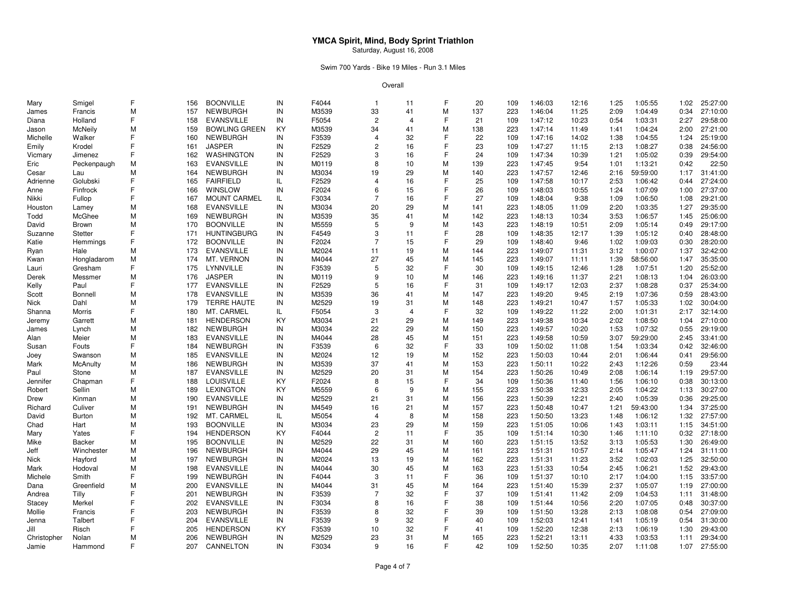### Swim 700 Yards - Bike 19 Miles - Run 3.1 Miles

| Mary        | Smigel         | F | 156 | <b>BOONVILLE</b>     | IN  | F4044          | $\mathbf{1}$   | 11             | F | 20  | 109        | 1:46:03 | 12:16 | 1:25 | 1:05:55            | 1:02 | 25:27:00 |
|-------------|----------------|---|-----|----------------------|-----|----------------|----------------|----------------|---|-----|------------|---------|-------|------|--------------------|------|----------|
| James       | Francis        | M | 157 | <b>NEWBURGH</b>      | IN  | M3539          | 33             | 41             | M | 137 | 223        | 1:46:04 | 11:25 | 2:09 | 1:04:49            | 0:34 | 27:10:00 |
| Diana       | Holland        | F | 158 | <b>EVANSVILLE</b>    | IN  | F5054          | $\overline{2}$ | $\overline{4}$ | F | 21  | 109        | 1:47:12 | 10:23 | 0:54 | 1:03:31            | 2:27 | 29:58:00 |
| Jason       | <b>McNeily</b> | М | 159 | <b>BOWLING GREEN</b> | KY  | M3539          | 34             | 41             | M | 138 | 223        | 1:47:14 | 11:49 | 1:41 | 1:04:24            | 2:00 | 27:21:00 |
| Michelle    | Walker         | F | 160 | <b>NEWBURGH</b>      | IN  | F3539          | $\overline{4}$ | 32             | F | 22  | 109        | 1:47:16 | 14:02 | 1:38 | 1:04:55            | 1:24 | 25:19:00 |
| Emily       | Krodel         | F | 161 | <b>JASPER</b>        | IN  | F2529          |                | 16             | F | 23  | 109        | 1:47:27 | 11:15 | 2:13 | 1:08:27            | 0:38 | 24:56:00 |
| Vicmary     | Jimenez        | F | 162 | WASHINGTON           | IN  | F2529          | 3              | 16             | F | 24  | 109        | 1:47:34 | 10:39 | 1:21 | 1:05:02            | 0:39 | 29:54:00 |
| Eric        | Peckenpaugh    | M | 163 | <b>EVANSVILLE</b>    | IN  | M0119          | 8              | 10             | M | 139 | 223        | 1:47:45 | 9:54  | 1:01 | 1:13:21            | 0:42 | 22:50    |
| Cesar       | Lau            | M | 164 | <b>NEWBURGH</b>      | IN  | M3034          | 19             | 29             | M | 140 | 223        | 1:47:57 | 12:46 | 2:16 | 59:59:00           | 1:17 | 31:41:00 |
| Adrienne    | Golubski       | F | 165 | <b>FAIRFIELD</b>     | IL  | F2529          | $\overline{4}$ | 16             | F | 25  | 109        | 1:47:58 | 10:17 | 2:53 | 1:06:42            | 0:44 | 27:24:00 |
| Anne        | Finfrock       | F | 166 | WINSLOW              | IN  | F2024          | 6              | 15             | F | 26  | 109        | 1:48:03 | 10:55 | 1:24 | 1:07:09            | 1:00 | 27:37:00 |
| Nikki       | Fullop         | F | 167 | <b>MOUNT CARMEL</b>  | IL  | F3034          | $\overline{7}$ | 16             | F | 27  | 109        | 1:48:04 | 9:38  | 1:09 | 1:06:50            | 1:08 | 29:21:00 |
| Houston     | Lamey          | M | 168 | <b>EVANSVILLE</b>    | IN  | M3034          | 20             | 29             | M | 141 | 223        | 1:48:05 | 11:09 | 2:20 | 1:03:35            | 1:27 | 29:35:00 |
| Todd        | McGhee         | M | 169 | <b>NEWBURGH</b>      | IN  | M3539          | 35             | 41             | M | 142 | 223        | 1:48:13 | 10:34 | 3:53 | 1:06:57            | 1:45 | 25:06:00 |
| David       | Brown          | М | 170 | <b>BOONVILLE</b>     | IN  | M5559          | 5              | 9              | M | 143 | 223        | 1:48:19 | 10:51 | 2:09 | 1:05:14            | 0:49 | 29:17:00 |
| Suzanne     | Stetter        | F | 171 | <b>HUNTINGBURG</b>   | IN  | F4549          | 3              | 11             | F | 28  | 109        | 1:48:35 | 12:17 | 1:39 | 1:05:12            | 0:40 | 28:48:00 |
| Katie       | Hemmings       | F | 172 | <b>BOONVILLE</b>     | IN  | F2024          | 7              | 15             | F | 29  | 109        | 1:48:40 | 9:46  | 1:02 | 1:09:03            | 0:30 | 28:20:00 |
| Ryan        | Hale           | M | 173 | <b>EVANSVILLE</b>    | IN  | M2024          | 11             | 19             | M | 144 | 223        | 1:49:07 | 11:31 | 3:12 | 1:00:07            | 1:37 | 32:42:00 |
| Kwan        | Hongladarom    | M | 174 | MT. VERNON           | IN  | M4044          | 27             | 45             | M | 145 | 223        | 1:49:07 | 11:11 | 1:39 | 58:56:00           | 1:47 | 35:35:00 |
|             | Gresham        | F | 175 | LYNNVILLE            | IN  | F3539          | 5              | 32             | F | 30  | 109        | 1:49:15 | 12:46 | 1:28 | 1:07:51            | 1:20 | 25:52:00 |
| Lauri       |                | M | 176 | <b>JASPER</b>        | IN  |                | 9              | 10             | M | 146 |            |         | 11:37 | 2:21 |                    |      | 26:03:00 |
| Derek       | Messmer        | F |     | <b>EVANSVILLE</b>    |     | M0119<br>F2529 | 5              | 16             | F | 31  | 223<br>109 | 1:49:16 |       |      | 1:08:13<br>1:08:28 | 1:04 | 25:34:00 |
| Kelly       | Paul           |   | 177 |                      | IN  |                |                | 41             |   |     |            | 1:49:17 | 12:03 | 2:37 |                    | 0:37 | 28:43:00 |
| Scott       | Bonnell        | M | 178 | <b>EVANSVILLE</b>    | IN  | M3539          | 36             |                | M | 147 | 223        | 1:49:20 | 9:45  | 2:19 | 1:07:36            | 0:59 |          |
| Nick        | Dahl           | М | 179 | <b>TERRE HAUTE</b>   | IN  | M2529          | 19             | 31             | M | 148 | 223        | 1:49:21 | 10:47 | 1:57 | 1:05:33            | 1:02 | 30:04:00 |
| Shanna      | Morris         | F | 180 | MT. CARMEL           | IL. | F5054          | 3              | $\overline{4}$ | F | 32  | 109        | 1:49:22 | 11:22 | 2:00 | 1:01:31            | 2:17 | 32:14:00 |
| Jeremy      | Garrett        | M | 181 | <b>HENDERSON</b>     | KY  | M3034          | 21             | 29             | M | 149 | 223        | 1:49:38 | 10:34 | 2:02 | 1:08:50            | 1:04 | 27:10:00 |
| James       | Lynch          | M | 182 | NEWBURGH             | IN  | M3034          | 22             | 29             | M | 150 | 223        | 1:49:57 | 10:20 | 1:53 | 1:07:32            | 0:55 | 29:19:00 |
| Alan        | Meier          | M | 183 | <b>EVANSVILLE</b>    | IN  | M4044          | 28             | 45             | M | 151 | 223        | 1:49:58 | 10:59 | 3:07 | 59:29:00           | 2:45 | 33:41:00 |
| Susan       | Fouts          | F | 184 | <b>NEWBURGH</b>      | IN  | F3539          | 6              | 32             | F | 33  | 109        | 1:50:02 | 11:08 | 1:54 | 1:03:34            | 0:42 | 32:46:00 |
| Joey        | Swanson        | M | 185 | <b>EVANSVILLE</b>    | IN  | M2024          | 12             | 19             | M | 152 | 223        | 1:50:03 | 10:44 | 2:01 | 1:06:44            | 0:41 | 29:56:00 |
| Mark        | McAnulty       | М | 186 | <b>NEWBURGH</b>      | IN  | M3539          | 37             | 41             | M | 153 | 223        | 1:50:11 | 10:22 | 2:43 | 1:12:26            | 0:59 | 23:44    |
| Paul        | Stone          | M | 187 | <b>EVANSVILLE</b>    | IN  | M2529          | 20             | 31             | M | 154 | 223        | 1:50:26 | 10:49 | 2:08 | 1:06:14            | 1:19 | 29:57:00 |
| Jennifer    | Chapman        | F | 188 | <b>LOUISVILLE</b>    | KY  | F2024          | 8              | 15             | F | 34  | 109        | 1:50:36 | 11:40 | 1:56 | 1:06:10            | 0:38 | 30:13:00 |
| Robert      | Sellin         | M | 189 | <b>LEXINGTON</b>     | KY  | M5559          | 6              | 9              | M | 155 | 223        | 1:50:38 | 12:33 | 2:05 | 1:04:22            | 1:13 | 30:27:00 |
| Drew        | Kinman         | M | 190 | <b>EVANSVILLE</b>    | IN  | M2529          | 21             | 31             | M | 156 | 223        | 1:50:39 | 12:21 | 2:40 | 1:05:39            | 0:36 | 29:25:00 |
| Richard     | Culiver        | M | 191 | <b>NEWBURGH</b>      | IN  | M4549          | 16             | 21             | M | 157 | 223        | 1:50:48 | 10:47 | 1:21 | 59:43:00           | 1:34 | 37:25:00 |
| David       | Burton         | M | 192 | MT. CARMEL           | IL  | M5054          | $\overline{4}$ | 8              | M | 158 | 223        | 1:50:50 | 13:23 | 1:48 | 1:06:12            | 1:32 | 27:57:00 |
| Chad        | Hart           | M | 193 | <b>BOONVILLE</b>     | IN  | M3034          | 23             | 29             | M | 159 | 223        | 1:51:05 | 10:06 | 1:43 | 1:03:11            | 1:15 | 34:51:00 |
| Mary        | Yates          | F | 194 | <b>HENDERSON</b>     | KY  | F4044          | $\overline{2}$ | 11             | F | 35  | 109        | 1:51:14 | 10:30 | 1:46 | 1:11:10            | 0:32 | 27:18:00 |
| Mike        | <b>Backer</b>  | M | 195 | <b>BOONVILLE</b>     | IN  | M2529          | 22             | 31             | M | 160 | 223        | 1:51:15 | 13:52 | 3:13 | 1:05:53            | 1:30 | 26:49:00 |
| Jeff        | Winchester     | M | 196 | <b>NEWBURGH</b>      | IN  | M4044          | 29             | 45             | M | 161 | 223        | 1:51:31 | 10:57 | 2:14 | 1:05:47            | 1:24 | 31:11:00 |
| Nick        | Hayford        | М | 197 | <b>NEWBURGH</b>      | IN  | M2024          | 13             | 19             | M | 162 | 223        | 1:51:31 | 11:23 | 3:52 | 1:02:03            | 1:25 | 32:50:00 |
| Mark        | Hodoval        | M | 198 | EVANSVILLE           | IN  | M4044          | 30             | 45             | M | 163 | 223        | 1:51:33 | 10:54 | 2:45 | 1:06:21            | 1:52 | 29:43:00 |
| Michele     | Smith          | F | 199 | <b>NEWBURGH</b>      | IN  | F4044          | 3              | 11             | F | 36  | 109        | 1:51:37 | 10:10 | 2:17 | 1:04:00            | 1:15 | 33:57:00 |
| Dana        | Greenfield     | М | 200 | <b>EVANSVILLE</b>    | IN  | M4044          | 31             | 45             | M | 164 | 223        | 1:51:40 | 15:39 | 2:37 | 1:05:07            | 1:19 | 27:00:00 |
| Andrea      | Tilly          | F | 201 | <b>NEWBURGH</b>      | IN  | F3539          | 7              | 32             | F | 37  | 109        | 1:51:41 | 11:42 | 2:09 | 1:04:53            | 1:11 | 31:48:00 |
| Stacey      | Merkel         | F | 202 | <b>EVANSVILLE</b>    | IN  | F3034          | 8              | 16             | F | 38  | 109        | 1:51:44 | 10:56 | 2:20 | 1:07:05            | 0:48 | 30:37:00 |
| Mollie      | Francis        | F | 203 | <b>NEWBURGH</b>      | IN  | F3539          | 8              | 32             | F | 39  | 109        | 1:51:50 | 13:28 | 2:13 | 1:08:08            | 0:54 | 27:09:00 |
| Jenna       | Talbert        | F | 204 | <b>EVANSVILLE</b>    | IN  | F3539          | 9              | 32             | F | 40  | 109        | 1:52:03 | 12:41 | 1:41 | 1:05:19            | 0:54 | 31:30:00 |
| Jill        | Risch          | F | 205 | <b>HENDERSON</b>     | KY  | F3539          | 10             | 32             | F | 41  | 109        | 1:52:20 | 12:38 | 2:13 | 1:06:19            | 1:30 | 29:43:00 |
| Christopher | Nolan          | М | 206 | <b>NEWBURGH</b>      | IN  | M2529          | 23             | 31             | M | 165 | 223        | 1:52:21 | 13:11 | 4:33 | 1:03:53            | 1:11 | 29:34:00 |
| Jamie       | Hammond        | F | 207 | CANNELTON            | IN  | F3034          | q              | 16             | F | 42  | 109        | 1:52:50 | 10:35 | 2:07 | 1:11:08            | 1:07 | 27:55:00 |
|             |                |   |     |                      |     |                |                |                |   |     |            |         |       |      |                    |      |          |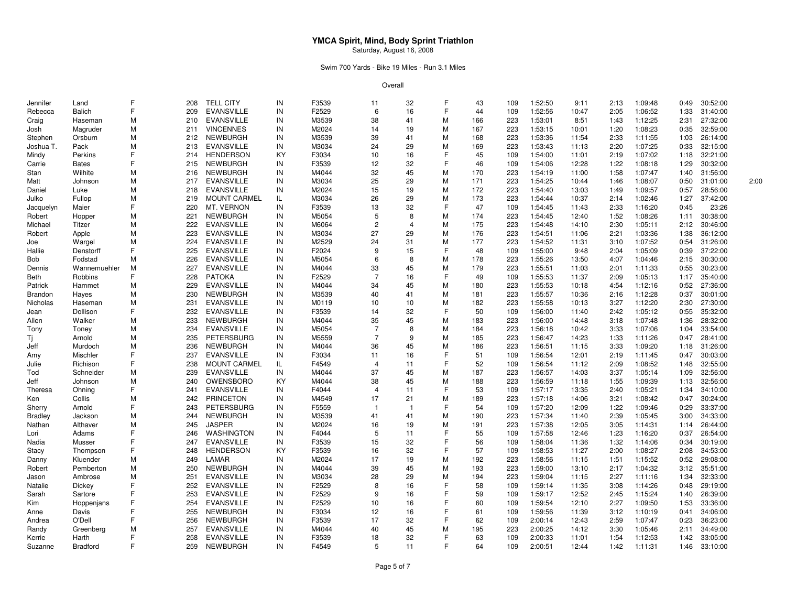### Swim 700 Yards - Bike 19 Miles - Run 3.1 Miles

| Jennifer       | Land            | F | 208 | <b>TELL CITY</b>    | IN | F3539 | 11             | 32                    | F | 43  | 109 | 1:52:50 | 9:11  | 2:13 | 1:09:48 | 0:49 | 30:52:00 |      |
|----------------|-----------------|---|-----|---------------------|----|-------|----------------|-----------------------|---|-----|-----|---------|-------|------|---------|------|----------|------|
| Rebecca        | Balich          | F | 209 | <b>EVANSVILLE</b>   | IN | F2529 | 6              | 16                    | E | 44  | 109 | 1:52:56 | 10:47 | 2:05 | 1:06:52 | 1:33 | 31:40:00 |      |
| Craig          | Haseman         | М | 210 | <b>EVANSVILLE</b>   | IN | M3539 | 38             | 41                    | М | 166 | 223 | 1:53:01 | 8:51  | 1:43 | 1:12:25 | 2:31 | 27:32:00 |      |
| Josh           | Magruder        | М | 211 | <b>VINCENNES</b>    | IN | M2024 | 14             | 19                    | M | 167 | 223 | 1:53:15 | 10:01 | 1:20 | 1:08:23 | 0:35 | 32:59:00 |      |
| Stephen        | Orsburn         | М | 212 | <b>NEWBURGH</b>     | IN | M3539 | 39             | 41                    | M | 168 | 223 | 1:53:36 | 11:54 | 2:33 | 1:11:55 | 1:03 | 26:14:00 |      |
| Joshua T.      | Pack            | М | 213 | <b>EVANSVILLE</b>   | IN | M3034 | 24             | 29                    | м | 169 | 223 | 1:53:43 | 11:13 | 2:20 | 1:07:25 | 0:33 | 32:15:00 |      |
| Mindy          | Perkins         | F | 214 | <b>HENDERSON</b>    | KY | F3034 | 10             | 16                    | F | 45  | 109 | 1:54:00 | 11:01 | 2:19 | 1:07:02 | 1:18 | 32:21:00 |      |
| Carrie         | <b>Bates</b>    | F | 215 | <b>NEWBURGH</b>     | IN | F3539 | 12             | 32                    | E | 46  | 109 | 1:54:06 | 12:28 | 1:22 | 1:08:18 | 1:29 | 30:32:00 |      |
| Stan           | Wilhite         | М | 216 | <b>NEWBURGH</b>     | IN | M4044 | 32             | 45                    | M | 170 | 223 | 1:54:19 | 11:00 | 1:58 | 1:07:47 | 1:40 | 31:56:00 |      |
| Matt           | Johnson         | М | 217 | <b>EVANSVILLE</b>   | IN | M3034 | 25             | 29                    | M | 171 | 223 | 1:54:25 | 10:44 | 1:46 | 1:08:07 | 0:50 | 31:01:00 | 2:00 |
| Daniel         | Luke            | М | 218 | <b>EVANSVILLE</b>   | IN | M2024 | 15             | 19                    | M | 172 | 223 | 1:54:40 | 13:03 | 1:49 | 1:09:57 | 0:57 | 28:56:00 |      |
| Julko          | Fullop          | М | 219 | MOUNT CARMEL        | IL | M3034 | 26             | 29                    | M | 173 | 223 | 1:54:44 | 10:37 | 2:14 | 1:02:46 | 1:27 | 37:42:00 |      |
| Jacquelyn      | Maier           | F | 220 | MT. VERNON          | IN | F3539 | 13             | 32                    | E | 47  | 109 | 1:54:45 | 11:43 | 2:33 | 1:16:20 | 0:45 | 23:26    |      |
| Robert         | Hopper          | М | 221 | NEWBURGH            | IN | M5054 | 5              | 8                     | м | 174 | 223 | 1:54:45 | 12:40 | 1:52 | 1:08:26 | 1:11 | 30:38:00 |      |
| Michael        | Titzer          | М | 222 | <b>EVANSVILLE</b>   | IN | M6064 | $\overline{c}$ | $\boldsymbol{\Delta}$ | M | 175 | 223 | 1:54:48 | 14:10 | 2:30 | 1:05:11 | 2:12 | 30:46:00 |      |
| Robert         | Apple           | М | 223 | <b>EVANSVILLE</b>   | IN | M3034 | 27             | 29                    | M | 176 | 223 | 1:54:51 | 11:06 | 2:21 | 1:03:36 | 1:38 | 36:12:00 |      |
| Joe            | Wargel          | М | 224 | <b>EVANSVILLE</b>   | IN | M2529 | 24             | 31                    | M | 177 | 223 | 1:54:52 | 11:31 | 3:10 | 1:07:52 | 0:54 | 31:26:00 |      |
| Hallie         | Denstorff       | F | 225 | <b>EVANSVILLE</b>   | IN | F2024 | 9              | 15                    | F | 48  | 109 | 1:55:00 | 9:48  | 2:04 | 1:05:09 | 0:39 | 37:22:00 |      |
| Bob            | Fodstad         | М | 226 | <b>EVANSVILLE</b>   | IN | M5054 | 6              | 8                     | M | 178 | 223 | 1:55:26 | 13:50 | 4:07 | 1:04:46 | 2:15 | 30:30:00 |      |
| Dennis         | Wannemuehler    | M | 227 | <b>EVANSVILLE</b>   | IN | M4044 | 33             | 45                    | M | 179 | 223 | 1:55:51 | 11:03 | 2:01 | 1:11:33 | 0:55 | 30:23:00 |      |
| Beth           | Robbins         | F | 228 | <b>PATOKA</b>       | IN | F2529 | $\overline{7}$ | 16                    | F | 49  | 109 | 1:55:53 | 11:37 | 2:09 | 1:05:13 | 1:17 | 35:40:00 |      |
| Patrick        | Hammet          | М | 229 | <b>EVANSVILLE</b>   | IN | M4044 | 34             | 45                    | M | 180 | 223 | 1:55:53 | 10:18 | 4:54 | 1:12:16 | 0:52 | 27:36:00 |      |
| <b>Brandon</b> | Hayes           | М | 230 | <b>NEWBURGH</b>     | IN | M3539 | 40             | 41                    | M | 181 | 223 | 1:55:57 | 10:36 | 2:16 | 1:12:28 | 0:37 | 30:01:00 |      |
| Nicholas       | Haseman         | М | 231 | <b>EVANSVILLE</b>   | IN | M0119 | 10             | 10                    | M | 182 | 223 | 1:55:58 | 10:13 | 3:27 | 1:12:20 | 2:30 | 27:30:00 |      |
| Jean           | Dollison        | F | 232 | <b>EVANSVILLE</b>   | IN | F3539 | 14             | 32                    | F | 50  | 109 | 1:56:00 | 11:40 | 2:42 | 1:05:12 | 0:55 | 35:32:00 |      |
| Allen          | Walker          | М | 233 | <b>NEWBURGH</b>     | IN | M4044 | 35             | 45                    | M | 183 | 223 | 1:56:00 | 14:48 | 3:18 | 1:07:48 | 1:36 | 28:32:00 |      |
| Tony           | Toney           | М | 234 | <b>EVANSVILLE</b>   | IN | M5054 | $\overline{7}$ | 8                     | M | 184 | 223 | 1:56:18 | 10:42 | 3:33 | 1:07:06 | 1:04 | 33:54:00 |      |
| Τi             | Arnold          | М | 235 | PETERSBURG          | IN | M5559 | $\overline{7}$ | 9                     | M | 185 | 223 | 1:56:47 | 14:23 | 1:33 | 1:11:26 | 0:47 | 28:41:00 |      |
| Jeff           | Murdoch         | М | 236 | NEWBURGH            | IN | M4044 | 36             | 45                    | м | 186 | 223 | 1:56:51 | 11:15 | 3:33 | 1:09:20 | 1:18 | 31:26:00 |      |
| Amy            | Mischler        | F | 237 | <b>EVANSVILLE</b>   | IN | F3034 | 11             | 16                    | F | 51  | 109 | 1:56:54 | 12:01 | 2:19 | 1:11:45 | 0:47 | 30:03:00 |      |
| Julie          | Richison        | F | 238 | <b>MOUNT CARMEL</b> | IL | F4549 | $\overline{4}$ | 11                    | F | 52  | 109 | 1:56:54 | 11:12 | 2:09 | 1:08:52 | 1:48 | 32:55:00 |      |
| Tod            | Schneider       | М | 239 | <b>EVANSVILLE</b>   | IN | M4044 | 37             | 45                    | M | 187 | 223 | 1:56:57 | 14:03 | 3:37 | 1:05:14 | 1:09 | 32:56:00 |      |
| Jeff           | Johnson         | М | 240 | OWENSBORO           | ΚY | M4044 | 38             | 45                    | M | 188 | 223 | 1:56:59 | 11:18 | 1:55 | 1:09:39 | 1:13 | 32:56:00 |      |
| Theresa        | Ohning          | F | 241 | <b>EVANSVILLE</b>   | IN | F4044 | $\overline{4}$ | 11                    | F | 53  | 109 | 1:57:17 | 13:35 | 2:40 | 1:05:21 | 1:34 | 34:10:00 |      |
| Ken            | Collis          | М | 242 | <b>PRINCETON</b>    | IN | M4549 | 17             | 21                    | M | 189 | 223 | 1:57:18 | 14:06 | 3:21 | 1:08:42 | 0:47 | 30:24:00 |      |
| Sherry         | Arnold          | F | 243 | <b>PETERSBURG</b>   | IN | F5559 | -1             | -1                    | F | 54  | 109 | 1:57:20 | 12:09 | 1:22 | 1:09:46 | 0:29 | 33:37:00 |      |
| <b>Bradley</b> | Jackson         | М | 244 | <b>NEWBURGH</b>     | IN | M3539 | 41             | 41                    | M | 190 | 223 | 1:57:34 | 11:40 | 2:39 | 1:05:45 | 3:00 | 34:33:00 |      |
| Nathan         | Althaver        | М | 245 | <b>JASPER</b>       | IN | M2024 | 16             | 19                    | M | 191 | 223 | 1:57:38 | 12:05 | 3:05 | 1:14:31 | 1:14 | 26:44:00 |      |
| Lori           | Adams           | F | 246 | WASHINGTON          | IN | F4044 | 5              | 11                    | F | 55  | 109 | 1:57:58 | 12:46 | 1:23 | 1:16:20 | 0:37 | 26:54:00 |      |
| Nadia          | Musser          | F | 247 | <b>EVANSVILLE</b>   | IN | F3539 | 15             | 32                    | F | 56  | 109 | 1:58:04 | 11:36 | 1:32 | 1:14:06 | 0:34 | 30:19:00 |      |
| Stacy          | Thompson        | F | 248 | <b>HENDERSON</b>    | KY | F3539 | 16             | 32                    | F | 57  | 109 | 1:58:53 | 11:27 | 2:00 | 1:08:27 | 2:08 | 34:53:00 |      |
| Danny          | Kluender        | М | 249 | LAMAR               | IN | M2024 | 17             | 19                    | M | 192 | 223 | 1:58:56 | 11:15 | 1:51 | 1:15:52 | 0:52 | 29:08:00 |      |
| Robert         | Pemberton       | М | 250 | <b>NEWBURGH</b>     | IN | M4044 | 39             | 45                    | M | 193 | 223 | 1:59:00 | 13:10 | 2:17 | 1:04:32 | 3:12 | 35:51:00 |      |
| Jason          | Ambrose         | М | 251 | <b>EVANSVILLE</b>   | IN | M3034 | 28             | 29                    | M | 194 | 223 | 1:59:04 | 11:15 | 2:27 | 1:11:16 | 1:34 | 32:33:00 |      |
| Natalie        | Dickey          | F | 252 | <b>EVANSVILLE</b>   | IN | F2529 | 8              | 16                    | F | 58  | 109 | 1:59:14 | 11:35 | 3:08 | 1:14:26 | 0:48 | 29:19:00 |      |
| Sarah          | Sartore         | F | 253 | <b>EVANSVILLE</b>   | IN | F2529 | 9              | 16                    | F | 59  | 109 | 1:59:17 | 12:52 | 2:45 | 1:15:24 | 1:40 | 26:39:00 |      |
| Kim            | Hoppenjans      | F | 254 | <b>EVANSVILLE</b>   | IN | F2529 | 10             | 16                    | F | 60  | 109 | 1:59:54 | 12:10 | 2:27 | 1:09:50 | 1:53 | 33:36:00 |      |
| Anne           | Davis           | F | 255 | <b>NEWBURGH</b>     | IN | F3034 | 12             | 16                    | F | 61  | 109 | 1:59:56 | 11:39 | 3:12 | 1:10:19 | 0:41 | 34:06:00 |      |
| Andrea         | O'Dell          | F | 256 | <b>NEWBURGH</b>     | IN | F3539 | 17             | 32                    | F | 62  | 109 | 2:00:14 | 12:43 | 2:59 | 1:07:47 | 0:23 | 36:23:00 |      |
| Randy          | Greenberg       | М | 257 | <b>EVANSVILLE</b>   | IN | M4044 | 40             | 45                    | M | 195 | 223 | 2:00:25 | 14:12 | 3:30 | 1:05:46 | 2:11 | 34:49:00 |      |
| Kerrie         | Harth           | F | 258 | <b>EVANSVILLE</b>   | IN | F3539 | 18             | 32                    | F | 63  | 109 | 2:00:33 | 11:01 | 1:54 | 1:12:53 | 1:42 | 33:05:00 |      |
| Suzanne        | <b>Bradford</b> | F | 259 | <b>NEWBURGH</b>     | IN | F4549 | 5              | 11                    | F | 64  | 109 | 2:00:51 | 12:44 | 1:42 | 1:11:31 | 1:46 | 33:10:00 |      |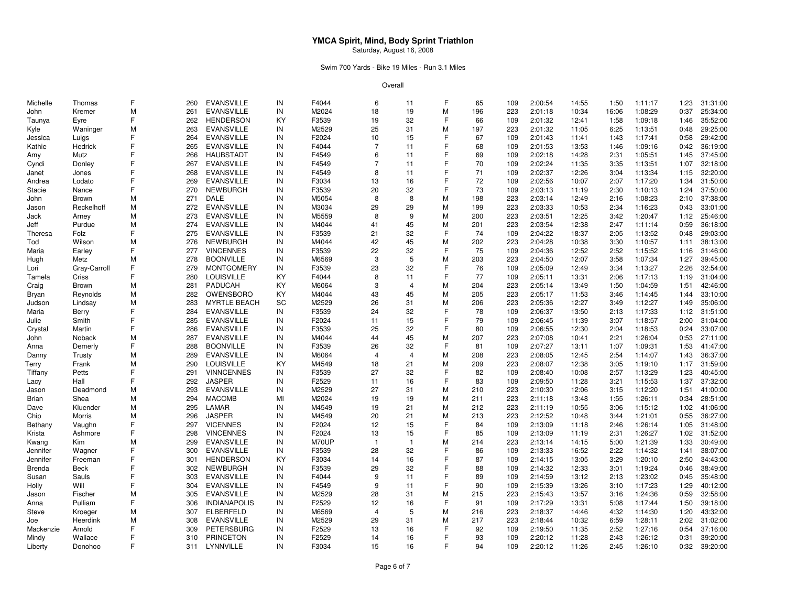### Swim 700 Yards - Bike 19 Miles - Run 3.1 Miles

| Michelle  | Thomas       | F  | 260 | EVANSVILLE          | IN        | F4044 | 6              | 11             | F | 65  | 109 | 2:00:54 | 14:55 | 1:50  | 1:11:17 | 1:23 | 31:31:00 |
|-----------|--------------|----|-----|---------------------|-----------|-------|----------------|----------------|---|-----|-----|---------|-------|-------|---------|------|----------|
| John      | Kremer       | M  | 261 | <b>EVANSVILLE</b>   | IN        | M2024 | 18             | 19             | M | 196 | 223 | 2:01:18 | 10:34 | 16:06 | 1:08:29 | 0:37 | 25:34:00 |
| Taunya    | Eyre         | F  | 262 | <b>HENDERSON</b>    | KY        | F3539 | 19             | 32             | F | 66  | 109 | 2:01:32 | 12:41 | 1:58  | 1:09:18 | 1:46 | 35:52:00 |
| Kyle      | Waninger     | M  | 263 | <b>EVANSVILLE</b>   | IN        | M2529 | 25             | 31             | M | 197 | 223 | 2:01:32 | 11:05 | 6:25  | 1:13:51 | 0:48 | 29:25:00 |
| Jessica   | Luigs        | F  | 264 | <b>EVANSVILLE</b>   | IN        | F2024 | 10             | 15             | F | 67  | 109 | 2:01:43 | 11:41 | 1:43  | 1:17:41 | 0:58 | 29:42:00 |
| Kathie    | Hedrick      | F  | 265 | <b>EVANSVILLE</b>   | IN        | F4044 | $\overline{7}$ | 11             | F | 68  | 109 | 2:01:53 | 13:53 | 1:46  | 1:09:16 | 0:42 | 36:19:00 |
| Amy       | Mutz         | F  | 266 | <b>HAUBSTADT</b>    | IN        | F4549 | 6              | 11             | F | 69  | 109 | 2:02:18 | 14:28 | 2:31  | 1:05:51 | 1:45 | 37:45:00 |
| Cyndi     | Donley       | F  | 267 | <b>EVANSVILLE</b>   | IN        | F4549 | 7              | 11             | F | 70  | 109 | 2:02:24 | 11:35 | 3:35  | 1:13:51 | 1:07 | 32:18:00 |
| Janet     | Jones        | F  | 268 | <b>EVANSVILLE</b>   | IN        | F4549 | 8              | 11             | F | 71  | 109 | 2:02:37 | 12:26 | 3:04  | 1:13:34 | 1:15 | 32:20:00 |
|           |              | F  | 269 | <b>EVANSVILLE</b>   | IN        | F3034 | 13             | 16             | F | 72  | 109 |         | 10:07 | 2:07  | 1:17:20 | 1:34 | 31:50:00 |
| Andrea    | Lodato       | F  |     |                     |           |       |                |                | F |     |     | 2:02:56 |       |       |         |      |          |
| Stacie    | Nance        |    | 270 | <b>NEWBURGH</b>     | IN        | F3539 | 20             | 32             |   | 73  | 109 | 2:03:13 | 11:19 | 2:30  | 1:10:13 | 1:24 | 37:50:00 |
| John      | Brown        | М  | 271 | DALE                | IN        | M5054 | 8              | 8              | М | 198 | 223 | 2:03:14 | 12:49 | 2:16  | 1:08:23 | 2:10 | 37:38:00 |
| Jason     | Reckelhoff   | М  | 272 | <b>EVANSVILLE</b>   | IN        | M3034 | 29             | 29             | M | 199 | 223 | 2:03:33 | 10:53 | 2:34  | 1:16:23 | 0:43 | 33:01:00 |
| Jack      | Arney        | M  | 273 | <b>EVANSVILLE</b>   | IN        | M5559 | 8              | 9              | M | 200 | 223 | 2:03:51 | 12:25 | 3:42  | 1:20:47 | 1:12 | 25:46:00 |
| Jeff      | Purdue       | M  | 274 | <b>EVANSVILLE</b>   | IN        | M4044 | 41             | 45             | M | 201 | 223 | 2:03:54 | 12:38 | 2:47  | 1:11:14 | 0:59 | 36:18:00 |
| Theresa   | Folz         | F  | 275 | <b>EVANSVILLE</b>   | IN        | F3539 | 21             | 32             | F | 74  | 109 | 2:04:22 | 18:37 | 2:05  | 1:13:52 | 0:48 | 29:03:00 |
| Tod       | Wilson       | М  | 276 | <b>NEWBURGH</b>     | IN        | M4044 | 42             | 45             | M | 202 | 223 | 2:04:28 | 10:38 | 3:30  | 1:10:57 | 1:11 | 38:13:00 |
| Maria     | Earley       | F  | 277 | <b>VINCENNES</b>    | IN        | F3539 | 22             | 32             | F | 75  | 109 | 2:04:36 | 12:52 | 2:52  | 1:15:52 | 1:16 | 31:46:00 |
| Hugh      | Metz         | M  | 278 | <b>BOONVILLE</b>    | IN        | M6569 | 3              | 5              | M | 203 | 223 | 2:04:50 | 12:07 | 3:58  | 1:07:34 | 1:27 | 39:45:00 |
| Lori      | Gray-Carroll | F  | 279 | <b>MONTGOMERY</b>   | IN        | F3539 | 23             | 32             | F | 76  | 109 | 2:05:09 | 12:49 | 3:34  | 1:13:27 | 2:26 | 32:54:00 |
| Tamela    | Criss        | F  | 280 | <b>LOUISVILLE</b>   | KY        | F4044 | 8              | 11             | F | 77  | 109 | 2:05:11 | 13:31 | 2:06  | 1:17:13 | 1:19 | 31:04:00 |
| Craig     | <b>Brown</b> | M  | 281 | <b>PADUCAH</b>      | ΚY        | M6064 | 3              | $\overline{4}$ | M | 204 | 223 | 2:05:14 | 13:49 | 1:50  | 1:04:59 | 1:51 | 42:46:00 |
| Bryan     | Reynolds     | М  | 282 | OWENSBORO           | <b>KY</b> | M4044 | 43             | 45             | M | 205 | 223 | 2:05:17 | 11:53 | 3:46  | 1:14:45 | 1:44 | 33:10:00 |
| Judson    | Lindsay      | M  | 283 | <b>MYRTLE BEACH</b> | <b>SC</b> | M2529 | 26             | 31             | M | 206 | 223 | 2:05:36 | 12:27 | 3:49  | 1:12:27 | 1:49 | 35:06:00 |
| Maria     | Berry        | F  | 284 | <b>EVANSVILLE</b>   | IN        | F3539 | 24             | 32             | F | 78  | 109 | 2:06:37 | 13:50 | 2:13  | 1:17:33 | 1:12 | 31:51:00 |
| Julie     | Smith        | F  | 285 | <b>EVANSVILLE</b>   | IN        | F2024 | 11             | 15             | F | 79  | 109 | 2:06:45 | 11:39 | 3:07  | 1:18:57 | 2:00 | 31:04:00 |
| Crystal   | Martin       | F  | 286 | <b>EVANSVILLE</b>   | IN        | F3539 | 25             | 32             | F | 80  | 109 | 2:06:55 | 12:30 | 2:04  | 1:18:53 | 0:24 | 33:07:00 |
| John      | Noback       | M  | 287 | <b>EVANSVILLE</b>   | IN        | M4044 | 44             | 45             | M | 207 | 223 | 2:07:08 | 10:41 | 2:21  | 1:26:04 | 0:53 | 27:11:00 |
|           |              | F. |     |                     |           |       |                |                | F |     |     |         |       |       |         |      |          |
| Anna      | Demerly      |    | 288 | <b>BOONVILLE</b>    | IN        | F3539 | 26             | 32             |   | 81  | 109 | 2:07:27 | 13:11 | 1:07  | 1:09:31 | 1:53 | 41:47:00 |
| Danny     | Trusty       | M  | 289 | <b>EVANSVILLE</b>   | IN        | M6064 | $\overline{4}$ | $\overline{4}$ | M | 208 | 223 | 2:08:05 | 12:45 | 2:54  | 1:14:07 | 1:43 | 36:37:00 |
| Terry     | Frank        | M  | 290 | <b>LOUISVILLE</b>   | KY        | M4549 | 18             | 21             | M | 209 | 223 | 2:08:07 | 12:38 | 3:05  | 1:19:10 | 1:17 | 31:59:00 |
| Tiffany   | Petts        | F  | 291 | <b>VINNCENNES</b>   | IN        | F3539 | 27             | 32             | F | 82  | 109 | 2:08:40 | 10:08 | 2:57  | 1:13:29 | 1:23 | 40:45:00 |
| Lacy      | Hall         | F  | 292 | <b>JASPER</b>       | IN        | F2529 | 11             | 16             | F | 83  | 109 | 2:09:50 | 11:28 | 3:21  | 1:15:53 | 1:37 | 37:32:00 |
| Jason     | Deadmond     | М  | 293 | <b>EVANSVILLE</b>   | IN        | M2529 | 27             | 31             | M | 210 | 223 | 2:10:30 | 12:06 | 3:15  | 1:12:20 | 1:51 | 41:00:00 |
| Brian     | Shea         | М  | 294 | <b>MACOMB</b>       | MI        | M2024 | 19             | 19             | M | 211 | 223 | 2:11:18 | 13:48 | 1:55  | 1:26:11 | 0:34 | 28:51:00 |
| Dave      | Kluender     | M  | 295 | LAMAR               | IN        | M4549 | 19             | 21             | M | 212 | 223 | 2:11:19 | 10:55 | 3:06  | 1:15:12 | 1:02 | 41:06:00 |
| Chip      | Morris       | M  | 296 | <b>JASPER</b>       | IN        | M4549 | 20             | 21             | M | 213 | 223 | 2:12:52 | 10:48 | 3:44  | 1:21:01 | 0:55 | 36:27:00 |
| Bethany   | Vaughn       | F  | 297 | <b>VICENNES</b>     | IN        | F2024 | 12             | 15             | F | 84  | 109 | 2:13:09 | 11:18 | 2:46  | 1:26:14 | 1:05 | 31:48:00 |
| Krista    | Ashmore      | F  | 298 | <b>VINCENNES</b>    | IN        | F2024 | 13             | 15             | F | 85  | 109 | 2:13:09 | 11:19 | 2:31  | 1:26:27 | 1:02 | 31:52:00 |
| Kwang     | Kim          | M  | 299 | <b>EVANSVILLE</b>   | IN        | M70UP | $\mathbf{1}$   | $\mathbf{1}$   | M | 214 | 223 | 2:13:14 | 14:15 | 5:00  | 1:21:39 | 1:33 | 30:49:00 |
| Jennifer  | Wagner       | F  | 300 | <b>EVANSVILLE</b>   | IN        | F3539 | 28             | 32             | F | 86  | 109 | 2:13:33 | 16:52 | 2:22  | 1:14:32 | 1:41 | 38:07:00 |
| Jennifer  | Freeman      | F  | 301 | <b>HENDERSON</b>    | KY        | F3034 | 14             | 16             | F | 87  | 109 | 2:14:15 | 13:05 | 3:29  | 1:20:10 | 2:50 | 34:43:00 |
| Brenda    | Beck         | F  | 302 | NEWBURGH            | IN        | F3539 | 29             | 32             | F | 88  | 109 | 2:14:32 | 12:33 | 3:01  | 1:19:24 | 0:46 | 38:49:00 |
| Susan     | Sauls        | F  | 303 | <b>EVANSVILLE</b>   | IN        | F4044 | 9              | 11             | F | 89  | 109 | 2:14:59 | 13:12 | 2:13  | 1:23:02 | 0:45 | 35:48:00 |
| Holly     | Will         | F  | 304 | <b>EVANSVILLE</b>   | IN        | F4549 | 9              | 11             | F | 90  | 109 | 2:15:39 | 13:26 | 3:10  | 1:17:23 | 1:29 | 40:12:00 |
| Jason     | Fischer      | M  | 305 | <b>EVANSVILLE</b>   | IN        | M2529 | 28             | 31             | М | 215 | 223 | 2:15:43 | 13:57 | 3:16  | 1:24:36 | 0:59 | 32:58:00 |
| Anna      | Pulliam      | F  | 306 | <b>INDIANAPOLIS</b> | IN        | F2529 | 12             | 16             | F | 91  | 109 | 2:17:29 | 13:31 | 5:08  | 1:17:44 | 1:50 | 39:18:00 |
| Steve     | Kroeger      | M  | 307 | <b>ELBERFELD</b>    | IN        | M6569 | $\overline{4}$ | 5              | M | 216 | 223 | 2:18:37 | 14:46 | 4:32  | 1:14:30 | 1:20 | 43:32:00 |
| Joe       | Heerdink     | M  | 308 | <b>EVANSVILLE</b>   | IN        | M2529 | 29             | 31             | M | 217 | 223 | 2:18:44 | 10:32 | 6:59  | 1:28:11 | 2:02 | 31:02:00 |
| Mackenzie | Arnold       | F  | 309 | PETERSBURG          | IN        | F2529 | 13             | 16             | F | 92  | 109 | 2:19:50 | 11:35 | 2:52  | 1:27:16 | 0:54 | 37:16:00 |
|           |              | F  |     |                     | IN        |       | 14             |                | F | 93  |     |         |       | 2:43  |         |      |          |
| Mindy     | Wallace      | F  | 310 | PRINCETON           |           | F2529 |                | 16             | F | 94  | 109 | 2:20:12 | 11:28 |       | 1:26:12 | 0:31 | 39:20:00 |
| Liberty   | Donohoo      |    | 311 | LYNNVILLE           | IN        | F3034 | 15             | 16             |   |     | 109 | 2:20:12 | 11:26 | 2:45  | 1:26:10 | 0:32 | 39:20:00 |